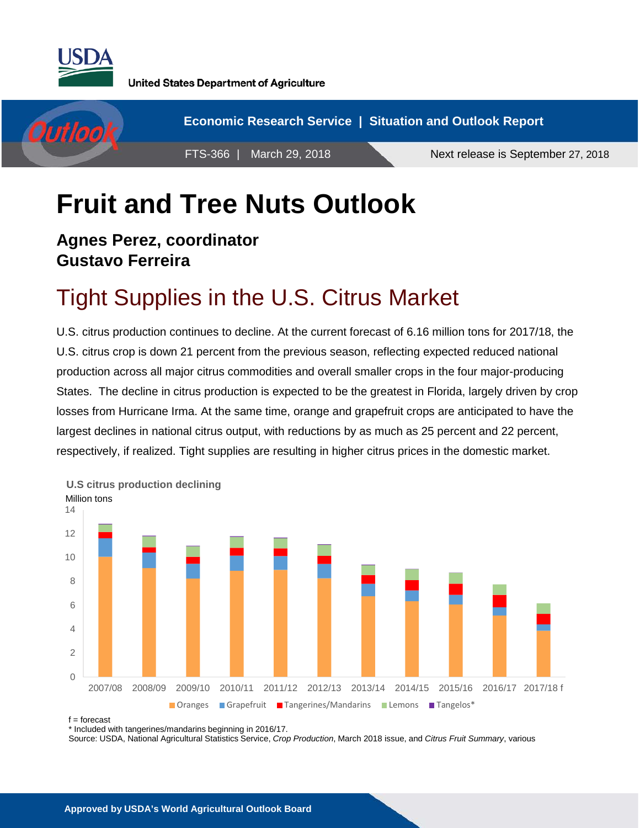

**United States Department of Agriculture** 



# **Fruit and Tree Nuts Outlook**

#### **Agnes Perez, coordinator Gustavo Ferreira**

### Tight Supplies in the U.S. Citrus Market

U.S. citrus production continues to decline. At the current forecast of 6.16 million tons for 2017/18, the U.S. citrus crop is down 21 percent from the previous season, reflecting expected reduced national production across all major citrus commodities and overall smaller crops in the four major-producing States. The decline in citrus production is expected to be the greatest in Florida, largely driven by crop losses from Hurricane Irma. At the same time, orange and grapefruit crops are anticipated to have the largest declines in national citrus output, with reductions by as much as 25 percent and 22 percent, respectively, if realized. Tight supplies are resulting in higher citrus prices in the domestic market.



f = forecast

\* Included with tangerines/mandarins beginning in 2016/17.

Source: USDA, National Agricultural Statistics Service, *Crop Production*, March 2018 issue, and *Citrus Fruit Summary*, various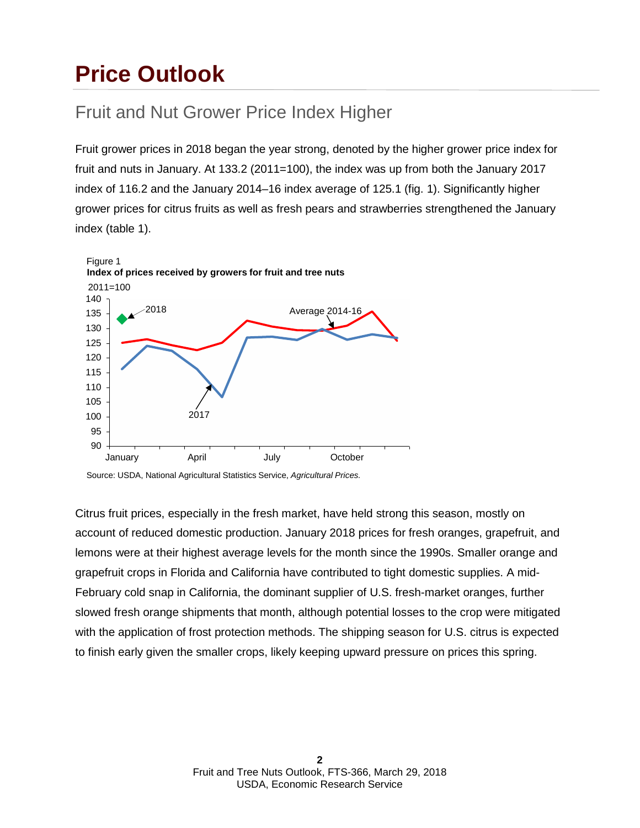### **Price Outlook**

### Fruit and Nut Grower Price Index Higher

Fruit grower prices in 2018 began the year strong, denoted by the higher grower price index for fruit and nuts in January. At 133.2 (2011=100), the index was up from both the January 2017 index of 116.2 and the January 2014–16 index average of 125.1 (fig. 1). Significantly higher grower prices for citrus fruits as well as fresh pears and strawberries strengthened the January index (table 1).



Source: USDA, National Agricultural Statistics Service, *Agricultural Prices.*

Citrus fruit prices, especially in the fresh market, have held strong this season, mostly on account of reduced domestic production. January 2018 prices for fresh oranges, grapefruit, and lemons were at their highest average levels for the month since the 1990s. Smaller orange and grapefruit crops in Florida and California have contributed to tight domestic supplies. A mid-February cold snap in California, the dominant supplier of U.S. fresh-market oranges, further slowed fresh orange shipments that month, although potential losses to the crop were mitigated with the application of frost protection methods. The shipping season for U.S. citrus is expected to finish early given the smaller crops, likely keeping upward pressure on prices this spring.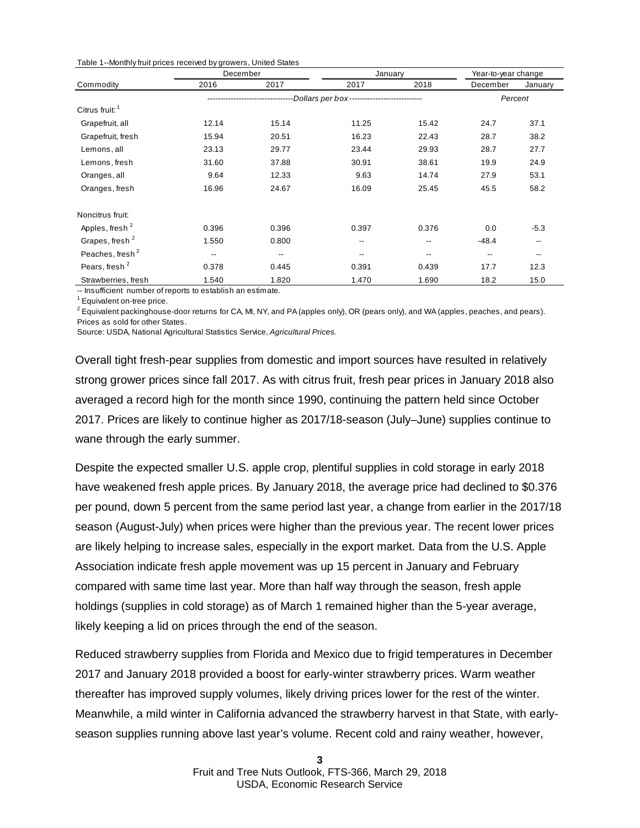|  |  |  | Table 1--Monthly fruit prices received by growers, United States |
|--|--|--|------------------------------------------------------------------|
|--|--|--|------------------------------------------------------------------|

|                             | December |       | January                                       |                          | Year-to-year change |                          |
|-----------------------------|----------|-------|-----------------------------------------------|--------------------------|---------------------|--------------------------|
| Commodity                   | 2016     | 2017  | 2017                                          | 2018                     | December            | January                  |
|                             |          |       | --Dollars per box---------------------------- |                          |                     | Percent                  |
| Citrus fruit: <sup>1</sup>  |          |       |                                               |                          |                     |                          |
| Grapefruit, all             | 12.14    | 15.14 | 11.25                                         | 15.42                    | 24.7                | 37.1                     |
| Grapefruit, fresh           | 15.94    | 20.51 | 16.23                                         | 22.43                    | 28.7                | 38.2                     |
| Lemons, all                 | 23.13    | 29.77 | 23.44                                         | 29.93                    | 28.7                | 27.7                     |
| Lemons, fresh               | 31.60    | 37.88 | 30.91                                         | 38.61                    | 19.9                | 24.9                     |
| Oranges, all                | 9.64     | 12.33 | 9.63                                          | 14.74                    | 27.9                | 53.1                     |
| Oranges, fresh              | 16.96    | 24.67 | 16.09                                         | 25.45                    | 45.5                | 58.2                     |
| Noncitrus fruit:            |          |       |                                               |                          |                     |                          |
| Apples, fresh <sup>2</sup>  | 0.396    | 0.396 | 0.397                                         | 0.376                    | 0.0                 | $-5.3$                   |
| Grapes, fresh <sup>2</sup>  | 1.550    | 0.800 | $- -$                                         | $\overline{\phantom{m}}$ | $-48.4$             | $\overline{\phantom{m}}$ |
| Peaches, fresh <sup>2</sup> | --       | --    | $-$                                           | $- -$                    | $\qquad \qquad -$   | $-$                      |
| Pears, fresh <sup>2</sup>   | 0.378    | 0.445 | 0.391                                         | 0.439                    | 17.7                | 12.3                     |
| Strawberries, fresh         | 1.540    | 1.820 | 1.470                                         | 1.690                    | 18.2                | 15.0                     |

-- Insufficient number of reports to establish an estimate.

<sup>1</sup> Equivalent on-tree price.

 $^2$  Equivalent packinghouse-door returns for CA, MI, NY, and PA (apples only), OR (pears only), and WA (apples, peaches, and pears). Prices as sold for other States.

Source: USDA, National Agricultural Statistics Service, *Agricultural Prices.*

Overall tight fresh-pear supplies from domestic and import sources have resulted in relatively strong grower prices since fall 2017. As with citrus fruit, fresh pear prices in January 2018 also averaged a record high for the month since 1990, continuing the pattern held since October 2017. Prices are likely to continue higher as 2017/18-season (July–June) supplies continue to wane through the early summer.

Despite the expected smaller U.S. apple crop, plentiful supplies in cold storage in early 2018 have weakened fresh apple prices. By January 2018, the average price had declined to \$0.376 per pound, down 5 percent from the same period last year, a change from earlier in the 2017/18 season (August-July) when prices were higher than the previous year. The recent lower prices are likely helping to increase sales, especially in the export market. Data from the U.S. Apple Association indicate fresh apple movement was up 15 percent in January and February compared with same time last year. More than half way through the season, fresh apple holdings (supplies in cold storage) as of March 1 remained higher than the 5-year average, likely keeping a lid on prices through the end of the season.

Reduced strawberry supplies from Florida and Mexico due to frigid temperatures in December 2017 and January 2018 provided a boost for early-winter strawberry prices. Warm weather thereafter has improved supply volumes, likely driving prices lower for the rest of the winter. Meanwhile, a mild winter in California advanced the strawberry harvest in that State, with earlyseason supplies running above last year's volume. Recent cold and rainy weather, however,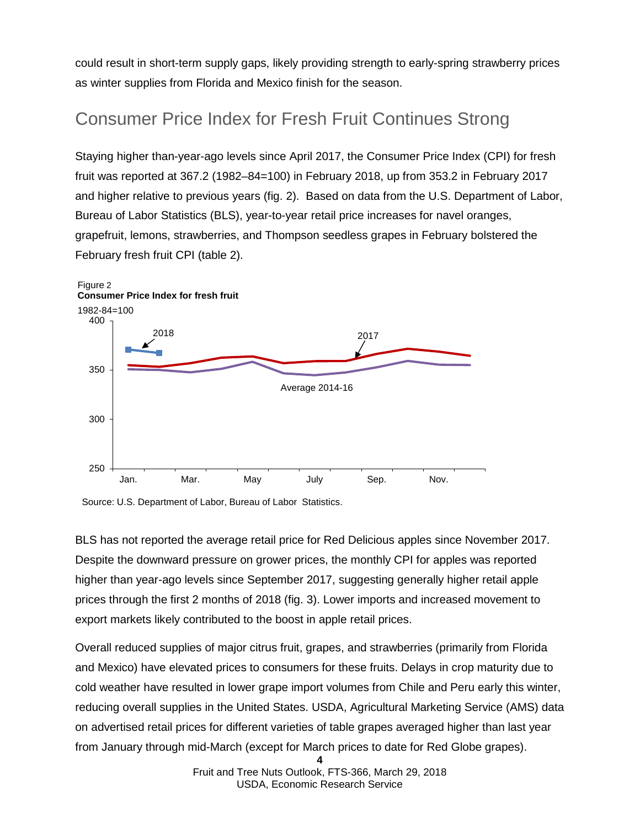could result in short-term supply gaps, likely providing strength to early-spring strawberry prices as winter supplies from Florida and Mexico finish for the season.

### Consumer Price Index for Fresh Fruit Continues Strong

Staying higher than-year-ago levels since April 2017, the Consumer Price Index (CPI) for fresh fruit was reported at 367.2 (1982–84=100) in February 2018, up from 353.2 in February 2017 and higher relative to previous years (fig. 2). Based on data from the U.S. Department of Labor, Bureau of Labor Statistics (BLS), year-to-year retail price increases for navel oranges, grapefruit, lemons, strawberries, and Thompson seedless grapes in February bolstered the February fresh fruit CPI (table 2).



Source: U.S. Department of Labor, Bureau of Labor Statistics.

BLS has not reported the average retail price for Red Delicious apples since November 2017. Despite the downward pressure on grower prices, the monthly CPI for apples was reported higher than year-ago levels since September 2017, suggesting generally higher retail apple prices through the first 2 months of 2018 (fig. 3). Lower imports and increased movement to export markets likely contributed to the boost in apple retail prices.

Overall reduced supplies of major citrus fruit, grapes, and strawberries (primarily from Florida and Mexico) have elevated prices to consumers for these fruits. Delays in crop maturity due to cold weather have resulted in lower grape import volumes from Chile and Peru early this winter, reducing overall supplies in the United States. USDA, Agricultural Marketing Service (AMS) data on advertised retail prices for different varieties of table grapes averaged higher than last year from January through mid-March (except for March prices to date for Red Globe grapes).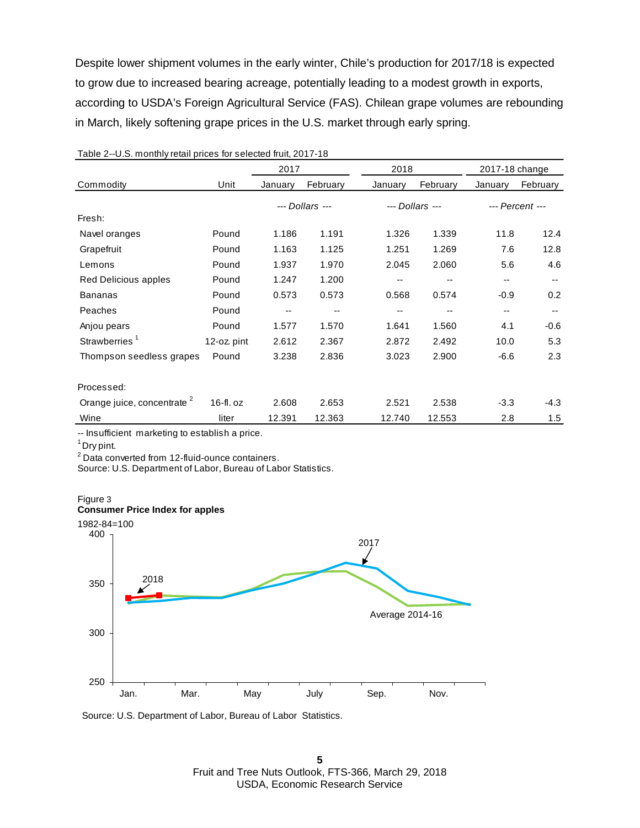Despite lower shipment volumes in the early winter, Chile's production for 2017/18 is expected to grow due to increased bearing acreage, potentially leading to a modest growth in exports, according to USDA's Foreign Agricultural Service (FAS). Chilean grape volumes are rebounding in March, likely softening grape prices in the U.S. market through early spring.

|                                        |             | 2017    |                 | 2018    |                 | 2017-18 change |                          |
|----------------------------------------|-------------|---------|-----------------|---------|-----------------|----------------|--------------------------|
| Commodity                              | Unit        | January | February        | January | February        | January        | February                 |
|                                        |             |         | --- Dollars --- |         | --- Dollars --- |                | --- Percent ---          |
| Fresh:                                 |             |         |                 |         |                 |                |                          |
| Navel oranges                          | Pound       | 1.186   | 1.191           | 1.326   | 1.339           | 11.8           | 12.4                     |
| Grapefruit                             | Pound       | 1.163   | 1.125           | 1.251   | 1.269           | 7.6            | 12.8                     |
| Lemons                                 | Pound       | 1.937   | 1.970           | 2.045   | 2.060           | 5.6            | 4.6                      |
| Red Delicious apples                   | Pound       | 1.247   | 1.200           | --      | --              | --             | $\overline{\phantom{a}}$ |
| <b>Bananas</b>                         | Pound       | 0.573   | 0.573           | 0.568   | 0.574           | $-0.9$         | 0.2                      |
| Peaches                                | Pound       | --      | --              | --      | --              | --             | $\overline{\phantom{a}}$ |
| Anjou pears                            | Pound       | 1.577   | 1.570           | 1.641   | 1.560           | 4.1            | $-0.6$                   |
| Strawberries <sup>1</sup>              | 12-oz. pint | 2.612   | 2.367           | 2.872   | 2.492           | 10.0           | 5.3                      |
| Thompson seedless grapes               | Pound       | 3.238   | 2.836           | 3.023   | 2.900           | $-6.6$         | 2.3                      |
| Processed:                             |             |         |                 |         |                 |                |                          |
| Orange juice, concentrate <sup>2</sup> | $16-fl. oz$ | 2.608   | 2.653           | 2.521   | 2.538           | $-3.3$         | $-4.3$                   |
| Wine                                   | liter       | 12.391  | 12.363          | 12.740  | 12.553          | 2.8            | 1.5                      |

#### Table 2--U.S. monthly retail prices for selected fruit, 2017-18

-- Insufficient marketing to establish a price.

 $1$  Dry pint.

<sup>2</sup> Data converted from 12-fluid-ounce containers.

Source: U.S. Department of Labor, Bureau of Labor Statistics.



Source: U.S. Department of Labor, Bureau of Labor Statistics.

**5** Fruit and Tree Nuts Outlook, FTS-366, March 29, 2018 USDA, Economic Research Service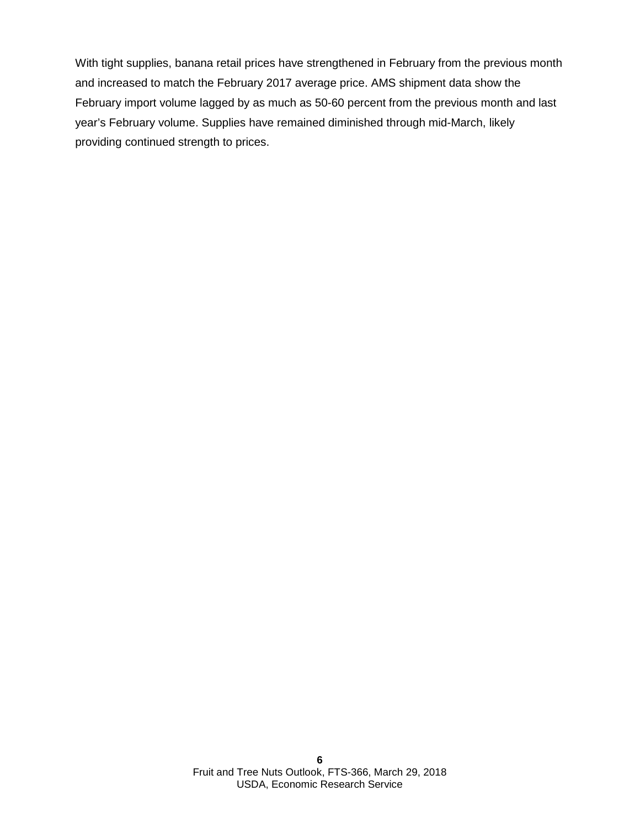With tight supplies, banana retail prices have strengthened in February from the previous month and increased to match the February 2017 average price. AMS shipment data show the February import volume lagged by as much as 50-60 percent from the previous month and last year's February volume. Supplies have remained diminished through mid-March, likely providing continued strength to prices.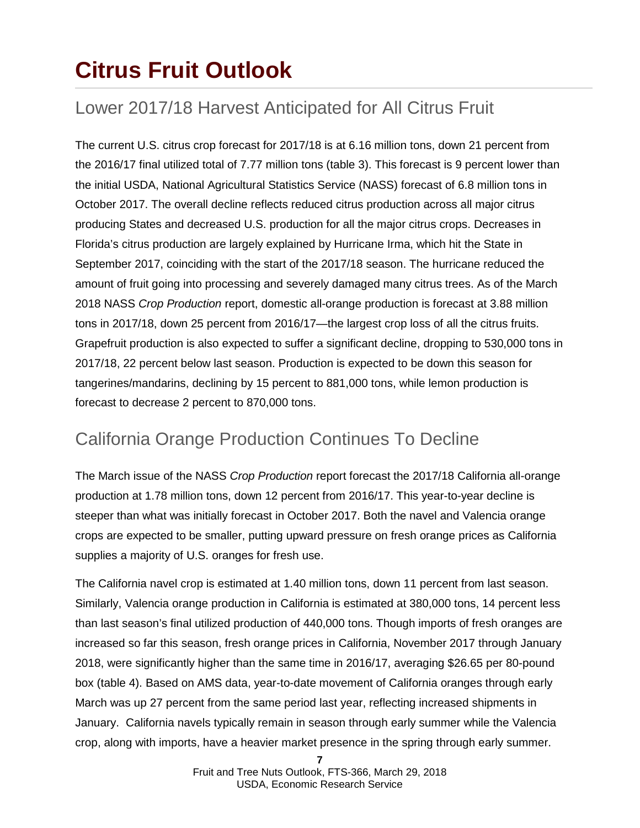## **Citrus Fruit Outlook**

### Lower 2017/18 Harvest Anticipated for All Citrus Fruit

The current U.S. citrus crop forecast for 2017/18 is at 6.16 million tons, down 21 percent from the 2016/17 final utilized total of 7.77 million tons (table 3). This forecast is 9 percent lower than the initial USDA, National Agricultural Statistics Service (NASS) forecast of 6.8 million tons in October 2017. The overall decline reflects reduced citrus production across all major citrus producing States and decreased U.S. production for all the major citrus crops. Decreases in Florida's citrus production are largely explained by Hurricane Irma, which hit the State in September 2017, coinciding with the start of the 2017/18 season. The hurricane reduced the amount of fruit going into processing and severely damaged many citrus trees. As of the March 2018 NASS *Crop Production* report, domestic all-orange production is forecast at 3.88 million tons in 2017/18, down 25 percent from 2016/17—the largest crop loss of all the citrus fruits. Grapefruit production is also expected to suffer a significant decline, dropping to 530,000 tons in 2017/18, 22 percent below last season. Production is expected to be down this season for tangerines/mandarins, declining by 15 percent to 881,000 tons, while lemon production is forecast to decrease 2 percent to 870,000 tons.

### California Orange Production Continues To Decline

The March issue of the NASS *Crop Production* report forecast the 2017/18 California all-orange production at 1.78 million tons, down 12 percent from 2016/17. This year-to-year decline is steeper than what was initially forecast in October 2017. Both the navel and Valencia orange crops are expected to be smaller, putting upward pressure on fresh orange prices as California supplies a majority of U.S. oranges for fresh use.

The California navel crop is estimated at 1.40 million tons, down 11 percent from last season. Similarly, Valencia orange production in California is estimated at 380,000 tons, 14 percent less than last season's final utilized production of 440,000 tons. Though imports of fresh oranges are increased so far this season, fresh orange prices in California, November 2017 through January 2018, were significantly higher than the same time in 2016/17, averaging \$26.65 per 80-pound box (table 4). Based on AMS data, year-to-date movement of California oranges through early March was up 27 percent from the same period last year, reflecting increased shipments in January. California navels typically remain in season through early summer while the Valencia crop, along with imports, have a heavier market presence in the spring through early summer.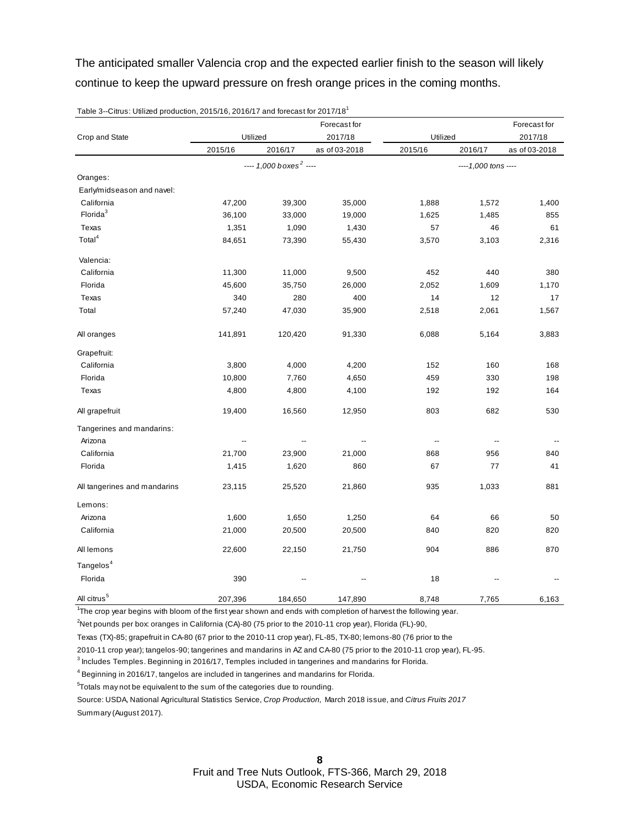The anticipated smaller Valencia crop and the expected earlier finish to the season will likely continue to keep the upward pressure on fresh orange prices in the coming months.

|                              |          |                                      |               | Forecast for             |                          |               |  |
|------------------------------|----------|--------------------------------------|---------------|--------------------------|--------------------------|---------------|--|
| Crop and State               | Utilized |                                      | 2017/18       | Utilized                 |                          | 2017/18       |  |
|                              | 2015/16  | 2016/17                              | as of 03-2018 | 2015/16                  | 2016/17                  | as of 03-2018 |  |
|                              |          | $--- 1,000$ boxes <sup>2</sup> $---$ |               |                          | ----1,000 tons ----      |               |  |
| Oranges:                     |          |                                      |               |                          |                          |               |  |
| Early/midseason and navel:   |          |                                      |               |                          |                          |               |  |
| California                   | 47,200   | 39,300                               | 35,000        | 1,888                    | 1,572                    | 1,400         |  |
| Florida <sup>3</sup>         | 36,100   | 33,000                               | 19,000        | 1,625                    | 1,485                    | 855           |  |
| Texas                        | 1,351    | 1,090                                | 1,430         | 57                       | 46                       | 61            |  |
| Total <sup>4</sup>           | 84,651   | 73,390                               | 55,430        | 3,570                    | 3,103                    | 2,316         |  |
| Valencia:                    |          |                                      |               |                          |                          |               |  |
| California                   | 11,300   | 11,000                               | 9,500         | 452                      | 440                      | 380           |  |
| Florida                      | 45,600   | 35,750                               | 26,000        | 2,052                    | 1,609                    | 1,170         |  |
| Texas                        | 340      | 280                                  | 400           | 14                       | 12                       | 17            |  |
| Total                        | 57,240   | 47,030                               | 35,900        | 2,518                    | 2,061                    | 1,567         |  |
| All oranges                  | 141,891  | 120,420                              | 91,330        | 6,088                    | 5,164                    | 3,883         |  |
| Grapefruit:                  |          |                                      |               |                          |                          |               |  |
| California                   | 3,800    | 4,000                                | 4,200         | 152                      | 160                      | 168           |  |
| Florida                      | 10,800   | 7,760                                | 4,650         | 459                      | 330                      | 198           |  |
| Texas                        | 4,800    | 4,800                                | 4,100         | 192                      | 192                      | 164           |  |
| All grapefruit               | 19,400   | 16,560                               | 12,950        | 803                      | 682                      | 530           |  |
| Tangerines and mandarins:    |          |                                      |               |                          |                          |               |  |
| Arizona                      |          |                                      |               | $\overline{\phantom{a}}$ | $\overline{\phantom{a}}$ |               |  |
| California                   | 21,700   | 23,900                               | 21,000        | 868                      | 956                      | 840           |  |
| Florida                      | 1,415    | 1,620                                | 860           | 67                       | 77                       | 41            |  |
| All tangerines and mandarins | 23,115   | 25,520                               | 21,860        | 935                      | 1,033                    | 881           |  |
| Lemons:                      |          |                                      |               |                          |                          |               |  |
| Arizona                      | 1,600    | 1,650                                | 1,250         | 64                       | 66                       | 50            |  |
| California                   | 21,000   | 20,500                               | 20,500        | 840                      | 820                      | 820           |  |
| All lemons                   | 22,600   | 22,150                               | 21,750        | 904                      | 886                      | 870           |  |
| Tangelos <sup>4</sup>        |          |                                      |               |                          |                          |               |  |
| Florida                      | 390      | $\overline{\phantom{a}}$             |               | 18                       |                          |               |  |
| All citrus <sup>5</sup>      | 207,396  | 184,650                              | 147,890       | 8,748                    | 7,765                    | 6,163         |  |

Table 3--Citrus: Utilized production, 2015/16, 2016/17 and forecast for 2017/18<sup>1</sup>

1 The crop year begins with bloom of the first year shown and ends with completion of harvest the following year.

2 Net pounds per box: oranges in California (CA)-80 (75 prior to the 2010-11 crop year), Florida (FL)-90,

Texas (TX)-85; grapefruit in CA-80 (67 prior to the 2010-11 crop year), FL-85, TX-80; lemons-80 (76 prior to the

2010-11 crop year); tangelos-90; tangerines and mandarins in AZ and CA-80 (75 prior to the 2010-11 crop year), FL-95.

 ${}^{3}$  Includes Temples. Beginning in 2016/17, Temples included in tangerines and mandarins for Florida.

 $^4$  Beginning in 2016/17, tangelos are included in tangerines and mandarins for Florida.

5 Totals may not be equivalent to the sum of the categories due to rounding.

Source: USDA, National Agricultural Statistics Service, *Crop Production,* March 2018 issue, and *Citrus Fruits 2017* 

Summary (August 2017).

Fruit and Tree Nuts Outlook, FTS-366, March 29, 2018 USDA, Economic Research Service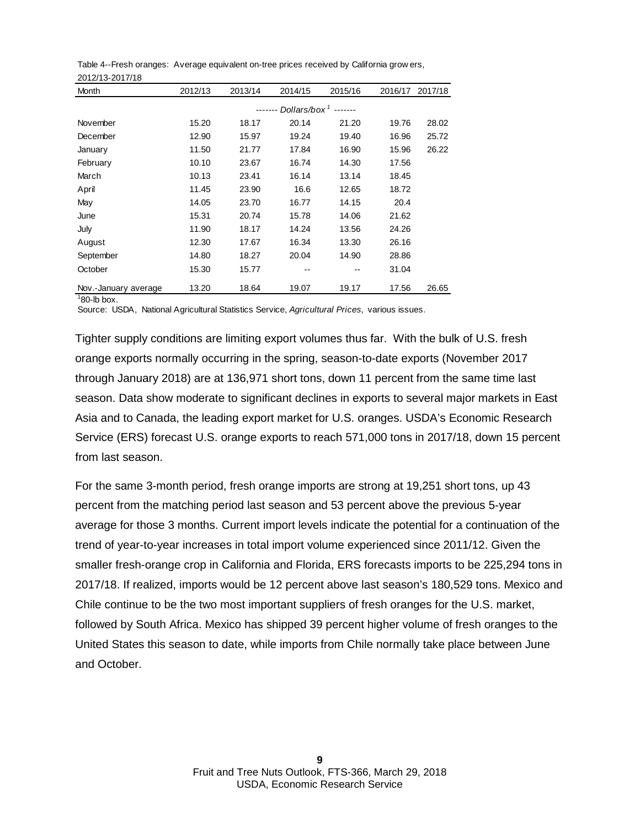| Month                | 2012/13 | 2013/14 | 2014/15                  | 2015/16         | 2016/17 | 2017/18 |
|----------------------|---------|---------|--------------------------|-----------------|---------|---------|
|                      |         |         | Dollars/box <sup>1</sup> | $- - - - - - -$ |         |         |
| November             | 15.20   | 18.17   | 20.14                    | 21.20           | 19.76   | 28.02   |
| December             | 12.90   | 15.97   | 19.24                    | 19.40           | 16.96   | 25.72   |
| January              | 11.50   | 21.77   | 17.84                    | 16.90           | 15.96   | 26.22   |
| February             | 10.10   | 23.67   | 16.74                    | 14.30           | 17.56   |         |
| March                | 10.13   | 23.41   | 16.14                    | 13.14           | 18.45   |         |
| April                | 11.45   | 23.90   | 16.6                     | 12.65           | 18.72   |         |
| May                  | 14.05   | 23.70   | 16.77                    | 14.15           | 20.4    |         |
| June                 | 15.31   | 20.74   | 15.78                    | 14.06           | 21.62   |         |
| July                 | 11.90   | 18.17   | 14.24                    | 13.56           | 24.26   |         |
| August               | 12.30   | 17.67   | 16.34                    | 13.30           | 26.16   |         |
| September            | 14.80   | 18.27   | 20.04                    | 14.90           | 28.86   |         |
| October              | 15.30   | 15.77   |                          |                 | 31.04   |         |
| Nov.-January average | 13.20   | 18.64   | 19.07                    | 19.17           | 17.56   | 26.65   |

Table 4--Fresh oranges: Average equivalent on-tree prices received by California grow ers, 2012/13-2017/18

 $180$ -lb box.

Source: USDA, National Agricultural Statistics Service, *Agricultural Prices,* various issues.

Tighter supply conditions are limiting export volumes thus far. With the bulk of U.S. fresh orange exports normally occurring in the spring, season-to-date exports (November 2017 through January 2018) are at 136,971 short tons, down 11 percent from the same time last season. Data show moderate to significant declines in exports to several major markets in East Asia and to Canada, the leading export market for U.S. oranges. USDA's Economic Research Service (ERS) forecast U.S. orange exports to reach 571,000 tons in 2017/18, down 15 percent from last season.

For the same 3-month period, fresh orange imports are strong at 19,251 short tons, up 43 percent from the matching period last season and 53 percent above the previous 5-year average for those 3 months. Current import levels indicate the potential for a continuation of the trend of year-to-year increases in total import volume experienced since 2011/12. Given the smaller fresh-orange crop in California and Florida, ERS forecasts imports to be 225,294 tons in 2017/18. If realized, imports would be 12 percent above last season's 180,529 tons. Mexico and Chile continue to be the two most important suppliers of fresh oranges for the U.S. market, followed by South Africa. Mexico has shipped 39 percent higher volume of fresh oranges to the United States this season to date, while imports from Chile normally take place between June and October.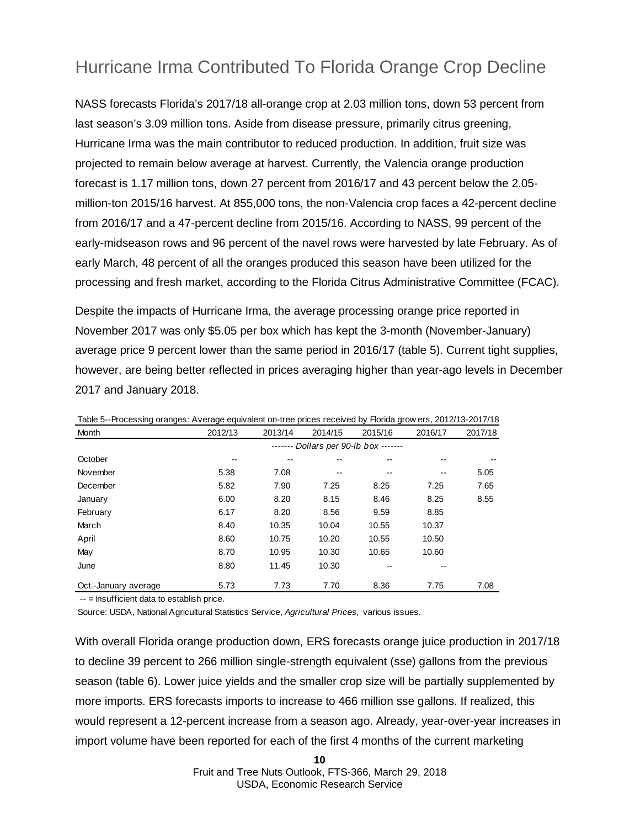### Hurricane Irma Contributed To Florida Orange Crop Decline

NASS forecasts Florida's 2017/18 all-orange crop at 2.03 million tons, down 53 percent from last season's 3.09 million tons. Aside from disease pressure, primarily citrus greening, Hurricane Irma was the main contributor to reduced production. In addition, fruit size was projected to remain below average at harvest. Currently, the Valencia orange production forecast is 1.17 million tons, down 27 percent from 2016/17 and 43 percent below the 2.05 million-ton 2015/16 harvest. At 855,000 tons, the non-Valencia crop faces a 42-percent decline from 2016/17 and a 47-percent decline from 2015/16. According to NASS, 99 percent of the early-midseason rows and 96 percent of the navel rows were harvested by late February. As of early March, 48 percent of all the oranges produced this season have been utilized for the processing and fresh market, according to the Florida Citrus Administrative Committee (FCAC).

Despite the impacts of Hurricane Irma, the average processing orange price reported in November 2017 was only \$5.05 per box which has kept the 3-month (November-January) average price 9 percent lower than the same period in 2016/17 (table 5). Current tight supplies, however, are being better reflected in prices averaging higher than year-ago levels in December 2017 and January 2018.

| Month                | 2012/13 | 2013/14 | 2014/15 | 2015/16                       | 2016/17 | 2017/18 |
|----------------------|---------|---------|---------|-------------------------------|---------|---------|
|                      |         |         |         | Dollars per 90-lb box ------- |         |         |
| October              |         |         |         |                               |         |         |
| November             | 5.38    | 7.08    | --      | --                            |         | 5.05    |
| December             | 5.82    | 7.90    | 7.25    | 8.25                          | 7.25    | 7.65    |
| January              | 6.00    | 8.20    | 8.15    | 8.46                          | 8.25    | 8.55    |
| February             | 6.17    | 8.20    | 8.56    | 9.59                          | 8.85    |         |
| March                | 8.40    | 10.35   | 10.04   | 10.55                         | 10.37   |         |
| April                | 8.60    | 10.75   | 10.20   | 10.55                         | 10.50   |         |
| May                  | 8.70    | 10.95   | 10.30   | 10.65                         | 10.60   |         |
| June                 | 8.80    | 11.45   | 10.30   | --                            |         |         |
| Oct.-January average | 5.73    | 7.73    | 7.70    | 8.36                          | 7.75    | 7.08    |

Table 5--Processing oranges: Average equivalent on-tree prices received by Florida grow ers, 2012/13-2017/18

-- = Insufficient data to establish price.

Source: USDA, National Agricultural Statistics Service, *Agricultural Prices,* various issues.

With overall Florida orange production down, ERS forecasts orange juice production in 2017/18 to decline 39 percent to 266 million single-strength equivalent (sse) gallons from the previous season (table 6). Lower juice yields and the smaller crop size will be partially supplemented by more imports. ERS forecasts imports to increase to 466 million sse gallons. If realized, this would represent a 12-percent increase from a season ago. Already, year-over-year increases in import volume have been reported for each of the first 4 months of the current marketing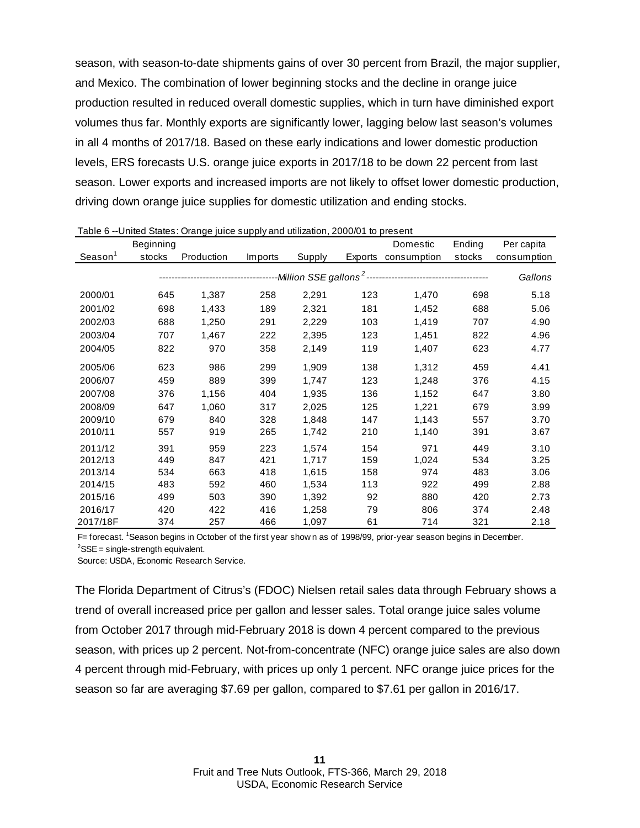season, with season-to-date shipments gains of over 30 percent from Brazil, the major supplier, and Mexico. The combination of lower beginning stocks and the decline in orange juice production resulted in reduced overall domestic supplies, which in turn have diminished export volumes thus far. Monthly exports are significantly lower, lagging below last season's volumes in all 4 months of 2017/18. Based on these early indications and lower domestic production levels, ERS forecasts U.S. orange juice exports in 2017/18 to be down 22 percent from last season. Lower exports and increased imports are not likely to offset lower domestic production, driving down orange juice supplies for domestic utilization and ending stocks.

|                      | Beginning |            |         |                                               |         | Domestic    | Ending | Per capita  |
|----------------------|-----------|------------|---------|-----------------------------------------------|---------|-------------|--------|-------------|
| Searson <sup>1</sup> | stocks    | Production | Imports | Supply                                        | Exports | consumption | stocks | consumption |
|                      |           |            |         | ---Million SSE gallons <sup>2</sup> --------- |         |             |        | Gallons     |
| 2000/01              | 645       | 1,387      | 258     | 2,291                                         | 123     | 1,470       | 698    | 5.18        |
| 2001/02              | 698       | 1,433      | 189     | 2,321                                         | 181     | 1,452       | 688    | 5.06        |
| 2002/03              | 688       | 1,250      | 291     | 2,229                                         | 103     | 1,419       | 707    | 4.90        |
| 2003/04              | 707       | 1,467      | 222     | 2,395                                         | 123     | 1,451       | 822    | 4.96        |
| 2004/05              | 822       | 970        | 358     | 2,149                                         | 119     | 1,407       | 623    | 4.77        |
| 2005/06              | 623       | 986        | 299     | 1,909                                         | 138     | 1,312       | 459    | 4.41        |
| 2006/07              | 459       | 889        | 399     | 1,747                                         | 123     | 1,248       | 376    | 4.15        |
| 2007/08              | 376       | 1,156      | 404     | 1,935                                         | 136     | 1,152       | 647    | 3.80        |
| 2008/09              | 647       | 1,060      | 317     | 2,025                                         | 125     | 1,221       | 679    | 3.99        |
| 2009/10              | 679       | 840        | 328     | 1,848                                         | 147     | 1,143       | 557    | 3.70        |
| 2010/11              | 557       | 919        | 265     | 1,742                                         | 210     | 1,140       | 391    | 3.67        |
| 2011/12              | 391       | 959        | 223     | 1,574                                         | 154     | 971         | 449    | 3.10        |
| 2012/13              | 449       | 847        | 421     | 1,717                                         | 159     | 1,024       | 534    | 3.25        |
| 2013/14              | 534       | 663        | 418     | 1,615                                         | 158     | 974         | 483    | 3.06        |
| 2014/15              | 483       | 592        | 460     | 1,534                                         | 113     | 922         | 499    | 2.88        |
| 2015/16              | 499       | 503        | 390     | 1,392                                         | 92      | 880         | 420    | 2.73        |
| 2016/17              | 420       | 422        | 416     | 1,258                                         | 79      | 806         | 374    | 2.48        |
| 2017/18F             | 374       | 257        | 466     | 1,097                                         | 61      | 714         | 321    | 2.18        |

Table 6 --United States: Orange juice supply and utilization, 2000/01 to present

F= forecast. <sup>1</sup> Season begins in October of the first year show n as of 1998/99, prior-year season begins in December.  ${}^{2}$ SSE = single-strength equivalent.

Source: USDA, Economic Research Service.

The Florida Department of Citrus's (FDOC) Nielsen retail sales data through February shows a trend of overall increased price per gallon and lesser sales. Total orange juice sales volume from October 2017 through mid-February 2018 is down 4 percent compared to the previous season, with prices up 2 percent. Not-from-concentrate (NFC) orange juice sales are also down 4 percent through mid-February, with prices up only 1 percent. NFC orange juice prices for the season so far are averaging \$7.69 per gallon, compared to \$7.61 per gallon in 2016/17.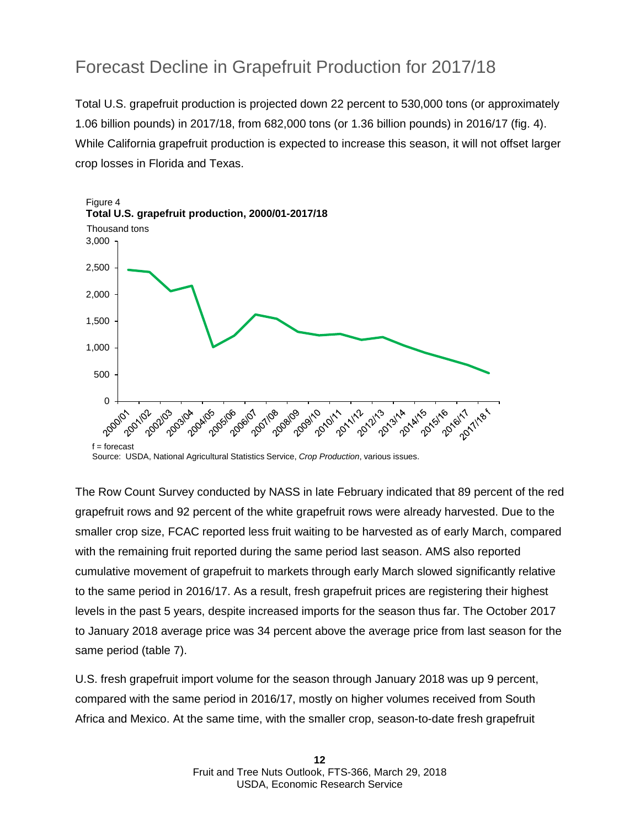### Forecast Decline in Grapefruit Production for 2017/18

Total U.S. grapefruit production is projected down 22 percent to 530,000 tons (or approximately 1.06 billion pounds) in 2017/18, from 682,000 tons (or 1.36 billion pounds) in 2016/17 (fig. 4). While California grapefruit production is expected to increase this season, it will not offset larger crop losses in Florida and Texas.



Source: USDA, National Agricultural Statistics Service, *Crop Production*, various issues.

The Row Count Survey conducted by NASS in late February indicated that 89 percent of the red grapefruit rows and 92 percent of the white grapefruit rows were already harvested. Due to the smaller crop size, FCAC reported less fruit waiting to be harvested as of early March, compared with the remaining fruit reported during the same period last season. AMS also reported cumulative movement of grapefruit to markets through early March slowed significantly relative to the same period in 2016/17. As a result, fresh grapefruit prices are registering their highest levels in the past 5 years, despite increased imports for the season thus far. The October 2017 to January 2018 average price was 34 percent above the average price from last season for the same period (table 7).

U.S. fresh grapefruit import volume for the season through January 2018 was up 9 percent, compared with the same period in 2016/17, mostly on higher volumes received from South Africa and Mexico. At the same time, with the smaller crop, season-to-date fresh grapefruit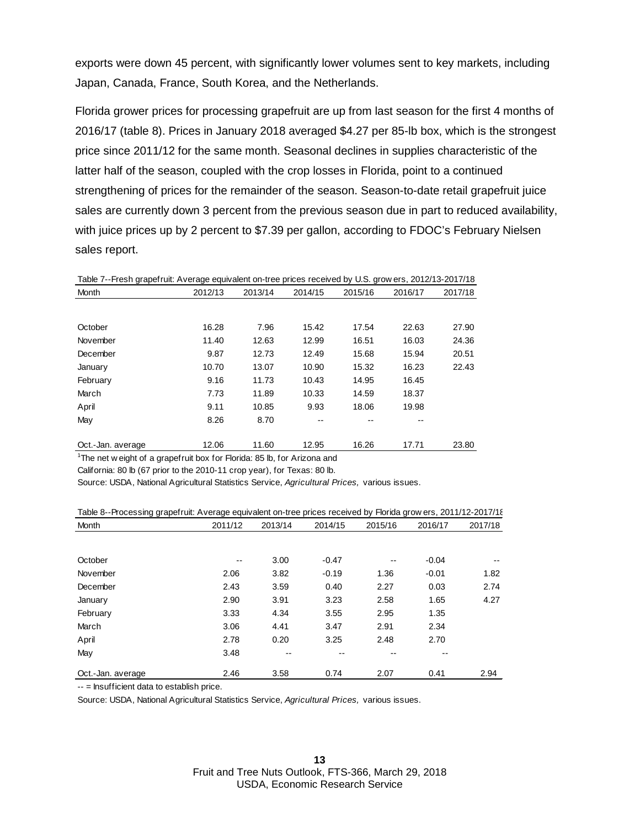exports were down 45 percent, with significantly lower volumes sent to key markets, including Japan, Canada, France, South Korea, and the Netherlands.

Florida grower prices for processing grapefruit are up from last season for the first 4 months of 2016/17 (table 8). Prices in January 2018 averaged \$4.27 per 85-lb box, which is the strongest price since 2011/12 for the same month. Seasonal declines in supplies characteristic of the latter half of the season, coupled with the crop losses in Florida, point to a continued strengthening of prices for the remainder of the season. Season-to-date retail grapefruit juice sales are currently down 3 percent from the previous season due in part to reduced availability, with juice prices up by 2 percent to \$7.39 per gallon, according to FDOC's February Nielsen sales report.

Table 7--Fresh grapefruit: Average equivalent on-tree prices received by U.S. grow ers, 2012/13-2017/18 Month 2012/13 2013/14 2014/15 2015/16 2016/17 2017/18

| October           | 16.28 | 7.96  | 15.42 | 17.54 | 22.63 | 27.90 |
|-------------------|-------|-------|-------|-------|-------|-------|
| November          | 11.40 | 12.63 | 12.99 | 16.51 | 16.03 | 24.36 |
| December          | 9.87  | 12.73 | 12.49 | 15.68 | 15.94 | 20.51 |
| January           | 10.70 | 13.07 | 10.90 | 15.32 | 16.23 | 22.43 |
| February          | 9.16  | 11.73 | 10.43 | 14.95 | 16.45 |       |
| March             | 7.73  | 11.89 | 10.33 | 14.59 | 18.37 |       |
| April             | 9.11  | 10.85 | 9.93  | 18.06 | 19.98 |       |
| May               | 8.26  | 8.70  | --    | --    | --    |       |
|                   |       |       |       |       |       |       |
| Oct.-Jan. average | 12.06 | 11.60 | 12.95 | 16.26 | 17.71 | 23.80 |

<sup>1</sup>The net w eight of a grapefruit box for Florida: 85 lb, for Arizona and

California: 80 lb (67 prior to the 2010-11 crop year), for Texas: 80 lb.

Source: USDA, National Agricultural Statistics Service, *Agricultural Prices,* various issues.

| Table 8--Processing grapefruit: Average equivalent on-tree prices received by Florida grow ers, 2011/12-2017/1{ |  |  |  |  |  |
|-----------------------------------------------------------------------------------------------------------------|--|--|--|--|--|
|                                                                                                                 |  |  |  |  |  |

| Month             | 2011/12 | 2013/14 | 2014/15 | 2015/16 | 2016/17 | 2017/18 |
|-------------------|---------|---------|---------|---------|---------|---------|
|                   |         |         |         |         |         |         |
| October           | $- -$   | 3.00    | $-0.47$ | --      | $-0.04$ | $- -$   |
| November          | 2.06    | 3.82    | $-0.19$ | 1.36    | $-0.01$ | 1.82    |
| December          | 2.43    | 3.59    | 0.40    | 2.27    | 0.03    | 2.74    |
| January           | 2.90    | 3.91    | 3.23    | 2.58    | 1.65    | 4.27    |
| February          | 3.33    | 4.34    | 3.55    | 2.95    | 1.35    |         |
| March             | 3.06    | 4.41    | 3.47    | 2.91    | 2.34    |         |
| April             | 2.78    | 0.20    | 3.25    | 2.48    | 2.70    |         |
| May               | 3.48    | --      | --      |         | --      |         |
| Oct.-Jan. average | 2.46    | 3.58    | 0.74    | 2.07    | 0.41    | 2.94    |

-- = Insufficient data to establish price.

Source: USDA, National Agricultural Statistics Service, *Agricultural Prices,* various issues.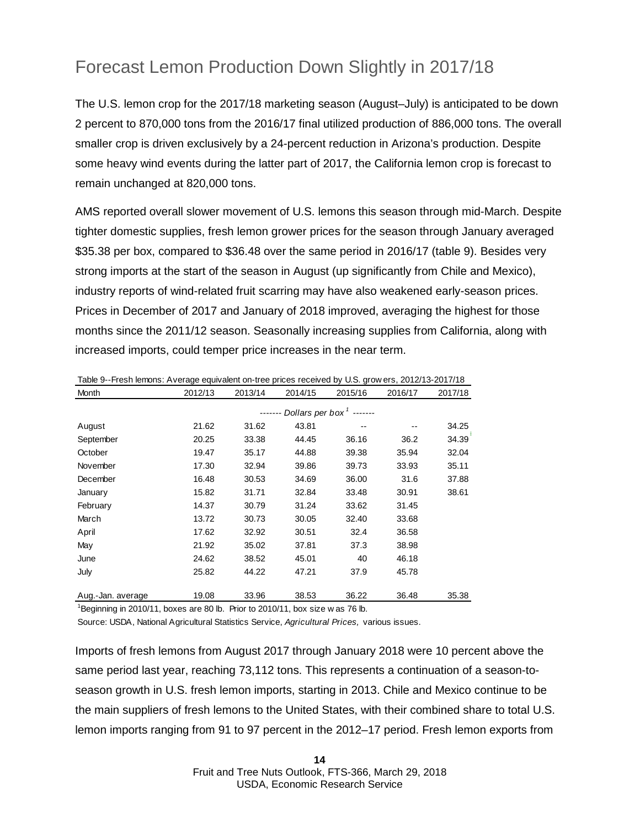### Forecast Lemon Production Down Slightly in 2017/18

The U.S. lemon crop for the 2017/18 marketing season (August–July) is anticipated to be down 2 percent to 870,000 tons from the 2016/17 final utilized production of 886,000 tons. The overall smaller crop is driven exclusively by a 24-percent reduction in Arizona's production. Despite some heavy wind events during the latter part of 2017, the California lemon crop is forecast to remain unchanged at 820,000 tons.

AMS reported overall slower movement of U.S. lemons this season through mid-March. Despite tighter domestic supplies, fresh lemon grower prices for the season through January averaged \$35.38 per box, compared to \$36.48 over the same period in 2016/17 (table 9). Besides very strong imports at the start of the season in August (up significantly from Chile and Mexico), industry reports of wind-related fruit scarring may have also weakened early-season prices. Prices in December of 2017 and January of 2018 improved, averaging the highest for those months since the 2011/12 season. Seasonally increasing supplies from California, along with increased imports, could temper price increases in the near term.

| Month             | 2012/13 | 2013/14 | 2014/15 | 2015/16                              | 2016/17 | 2017/18 |
|-------------------|---------|---------|---------|--------------------------------------|---------|---------|
|                   |         | $---$   |         | Dollars per box <sup>1</sup> ------- |         |         |
| August            | 21.62   | 31.62   | 43.81   |                                      |         | 34.25   |
| September         | 20.25   | 33.38   | 44.45   | 36.16                                | 36.2    | 34.39   |
| October           | 19.47   | 35.17   | 44.88   | 39.38                                | 35.94   | 32.04   |
| November          | 17.30   | 32.94   | 39.86   | 39.73                                | 33.93   | 35.11   |
| December          | 16.48   | 30.53   | 34.69   | 36.00                                | 31.6    | 37.88   |
| January           | 15.82   | 31.71   | 32.84   | 33.48                                | 30.91   | 38.61   |
| February          | 14.37   | 30.79   | 31.24   | 33.62                                | 31.45   |         |
| March             | 13.72   | 30.73   | 30.05   | 32.40                                | 33.68   |         |
| April             | 17.62   | 32.92   | 30.51   | 32.4                                 | 36.58   |         |
| May               | 21.92   | 35.02   | 37.81   | 37.3                                 | 38.98   |         |
| June              | 24.62   | 38.52   | 45.01   | 40                                   | 46.18   |         |
| July              | 25.82   | 44.22   | 47.21   | 37.9                                 | 45.78   |         |
|                   |         |         |         |                                      |         |         |
| Aug.-Jan. average | 19.08   | 33.96   | 38.53   | 36.22                                | 36.48   | 35.38   |

Table 9--Fresh lemons: Average equivalent on-tree prices received by U.S. grow ers, 2012/13-2017/18

<sup>1</sup>Beginning in 2010/11, boxes are 80 lb. Prior to 2010/11, box size w as 76 lb.

Source: USDA, National Agricultural Statistics Service, *Agricultural Prices,* various issues.

Imports of fresh lemons from August 2017 through January 2018 were 10 percent above the same period last year, reaching 73,112 tons. This represents a continuation of a season-toseason growth in U.S. fresh lemon imports, starting in 2013. Chile and Mexico continue to be the main suppliers of fresh lemons to the United States, with their combined share to total U.S. lemon imports ranging from 91 to 97 percent in the 2012–17 period. Fresh lemon exports from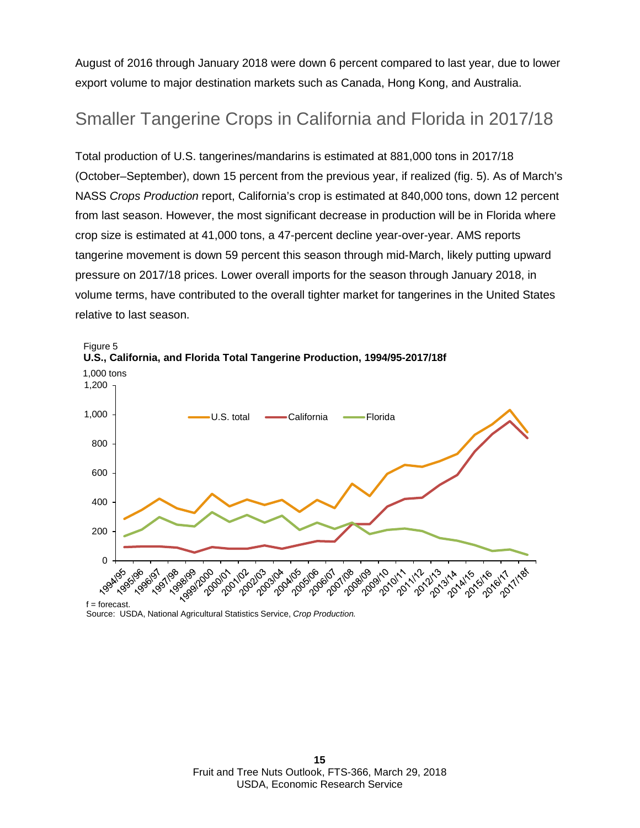August of 2016 through January 2018 were down 6 percent compared to last year, due to lower export volume to major destination markets such as Canada, Hong Kong, and Australia.

#### Smaller Tangerine Crops in California and Florida in 2017/18

Total production of U.S. tangerines/mandarins is estimated at 881,000 tons in 2017/18 (October–September), down 15 percent from the previous year, if realized (fig. 5). As of March's NASS *Crops Production* report, California's crop is estimated at 840,000 tons, down 12 percent from last season. However, the most significant decrease in production will be in Florida where crop size is estimated at 41,000 tons, a 47-percent decline year-over-year. AMS reports tangerine movement is down 59 percent this season through mid-March, likely putting upward pressure on 2017/18 prices. Lower overall imports for the season through January 2018, in volume terms, have contributed to the overall tighter market for tangerines in the United States relative to last season.



Source: USDA, National Agricultural Statistics Service, *Crop Production.*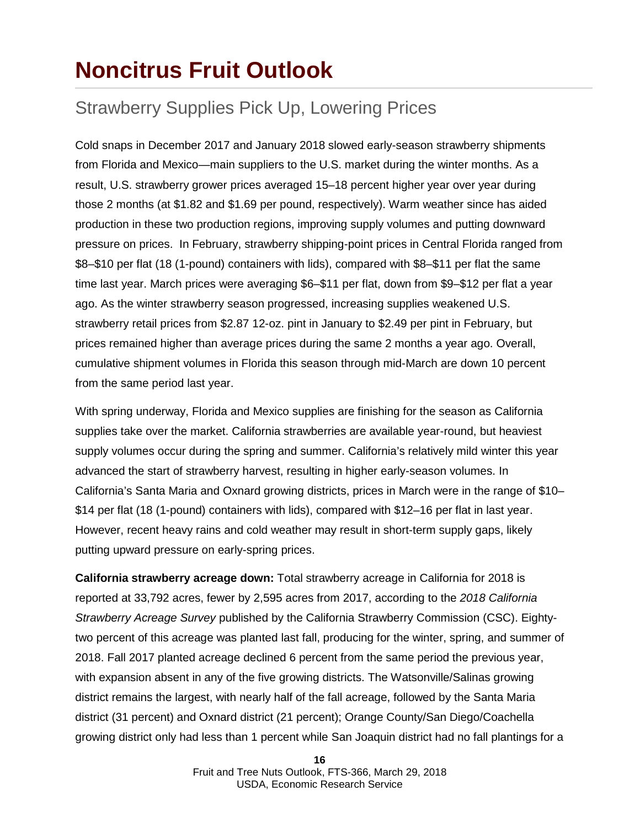### **Noncitrus Fruit Outlook**

### Strawberry Supplies Pick Up, Lowering Prices

Cold snaps in December 2017 and January 2018 slowed early-season strawberry shipments from Florida and Mexico—main suppliers to the U.S. market during the winter months. As a result, U.S. strawberry grower prices averaged 15–18 percent higher year over year during those 2 months (at \$1.82 and \$1.69 per pound, respectively). Warm weather since has aided production in these two production regions, improving supply volumes and putting downward pressure on prices. In February, strawberry shipping-point prices in Central Florida ranged from \$8–\$10 per flat (18 (1-pound) containers with lids), compared with \$8–\$11 per flat the same time last year. March prices were averaging \$6–\$11 per flat, down from \$9–\$12 per flat a year ago. As the winter strawberry season progressed, increasing supplies weakened U.S. strawberry retail prices from \$2.87 12-oz. pint in January to \$2.49 per pint in February, but prices remained higher than average prices during the same 2 months a year ago. Overall, cumulative shipment volumes in Florida this season through mid-March are down 10 percent from the same period last year.

With spring underway, Florida and Mexico supplies are finishing for the season as California supplies take over the market. California strawberries are available year-round, but heaviest supply volumes occur during the spring and summer. California's relatively mild winter this year advanced the start of strawberry harvest, resulting in higher early-season volumes. In California's Santa Maria and Oxnard growing districts, prices in March were in the range of \$10– \$14 per flat (18 (1-pound) containers with lids), compared with \$12–16 per flat in last year. However, recent heavy rains and cold weather may result in short-term supply gaps, likely putting upward pressure on early-spring prices.

**California strawberry acreage down:** Total strawberry acreage in California for 2018 is reported at 33,792 acres, fewer by 2,595 acres from 2017, according to the *2018 California Strawberry Acreage Survey* published by the California Strawberry Commission (CSC). Eightytwo percent of this acreage was planted last fall, producing for the winter, spring, and summer of 2018. Fall 2017 planted acreage declined 6 percent from the same period the previous year, with expansion absent in any of the five growing districts. The Watsonville/Salinas growing district remains the largest, with nearly half of the fall acreage, followed by the Santa Maria district (31 percent) and Oxnard district (21 percent); Orange County/San Diego/Coachella growing district only had less than 1 percent while San Joaquin district had no fall plantings for a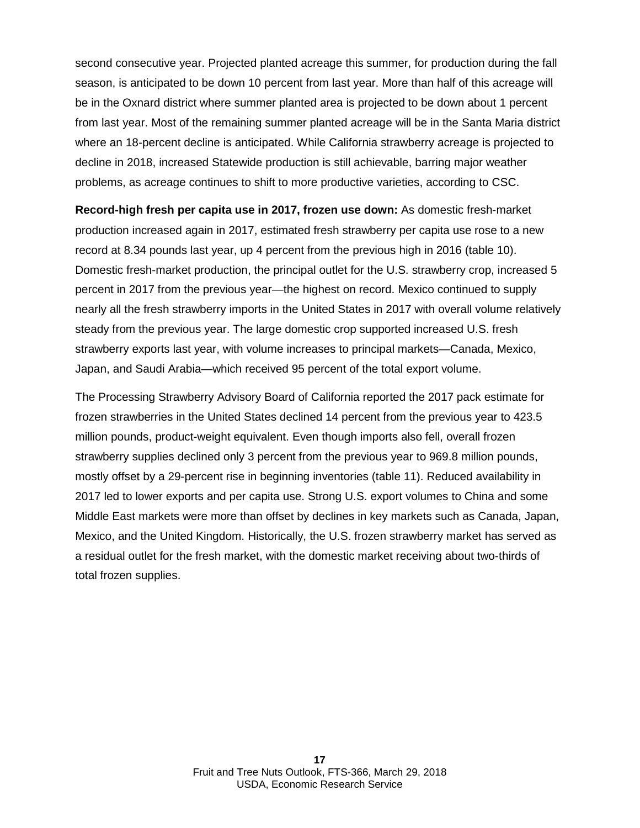second consecutive year. Projected planted acreage this summer, for production during the fall season, is anticipated to be down 10 percent from last year. More than half of this acreage will be in the Oxnard district where summer planted area is projected to be down about 1 percent from last year. Most of the remaining summer planted acreage will be in the Santa Maria district where an 18-percent decline is anticipated. While California strawberry acreage is projected to decline in 2018, increased Statewide production is still achievable, barring major weather problems, as acreage continues to shift to more productive varieties, according to CSC.

**Record-high fresh per capita use in 2017, frozen use down:** As domestic fresh-market production increased again in 2017, estimated fresh strawberry per capita use rose to a new record at 8.34 pounds last year, up 4 percent from the previous high in 2016 (table 10). Domestic fresh-market production, the principal outlet for the U.S. strawberry crop, increased 5 percent in 2017 from the previous year—the highest on record. Mexico continued to supply nearly all the fresh strawberry imports in the United States in 2017 with overall volume relatively steady from the previous year. The large domestic crop supported increased U.S. fresh strawberry exports last year, with volume increases to principal markets—Canada, Mexico, Japan, and Saudi Arabia—which received 95 percent of the total export volume.

The Processing Strawberry Advisory Board of California reported the 2017 pack estimate for frozen strawberries in the United States declined 14 percent from the previous year to 423.5 million pounds, product-weight equivalent. Even though imports also fell, overall frozen strawberry supplies declined only 3 percent from the previous year to 969.8 million pounds, mostly offset by a 29-percent rise in beginning inventories (table 11). Reduced availability in 2017 led to lower exports and per capita use. Strong U.S. export volumes to China and some Middle East markets were more than offset by declines in key markets such as Canada, Japan, Mexico, and the United Kingdom. Historically, the U.S. frozen strawberry market has served as a residual outlet for the fresh market, with the domestic market receiving about two-thirds of total frozen supplies.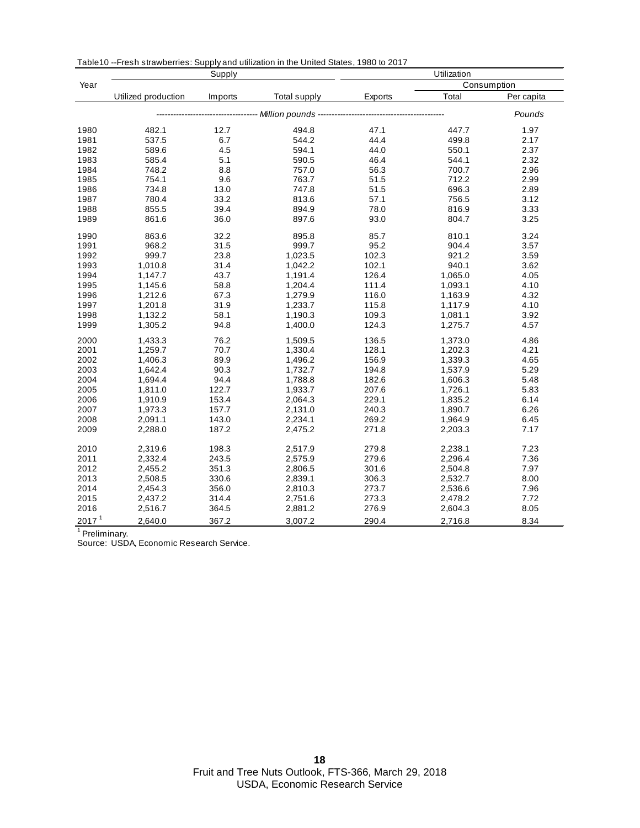|                   |                     | Supply  |                                            | Utilization |         |             |  |
|-------------------|---------------------|---------|--------------------------------------------|-------------|---------|-------------|--|
| Year              |                     |         |                                            |             |         | Consumption |  |
|                   | Utilized production | Imports | Total supply                               | Exports     | Total   | Per capita  |  |
|                   |                     |         | ------------ Million pounds -------------- |             |         | Pounds      |  |
| 1980              | 482.1               | 12.7    | 494.8                                      | 47.1        | 447.7   | 1.97        |  |
| 1981              | 537.5               | 6.7     | 544.2                                      | 44.4        | 499.8   | 2.17        |  |
| 1982              | 589.6               | 4.5     | 594.1                                      | 44.0        | 550.1   | 2.37        |  |
| 1983              | 585.4               | 5.1     | 590.5                                      | 46.4        | 544.1   | 2.32        |  |
| 1984              | 748.2               | 8.8     | 757.0                                      | 56.3        | 700.7   | 2.96        |  |
| 1985              | 754.1               | 9.6     | 763.7                                      | 51.5        | 712.2   | 2.99        |  |
| 1986              | 734.8               | 13.0    | 747.8                                      | 51.5        | 696.3   | 2.89        |  |
| 1987              | 780.4               | 33.2    | 813.6                                      | 57.1        | 756.5   | 3.12        |  |
| 1988              | 855.5               | 39.4    | 894.9                                      | 78.0        | 816.9   | 3.33        |  |
| 1989              | 861.6               | 36.0    | 897.6                                      | 93.0        | 804.7   | 3.25        |  |
| 1990              | 863.6               | 32.2    | 895.8                                      | 85.7        | 810.1   | 3.24        |  |
| 1991              | 968.2               | 31.5    | 999.7                                      | 95.2        | 904.4   | 3.57        |  |
| 1992              | 999.7               | 23.8    | 1,023.5                                    | 102.3       | 921.2   | 3.59        |  |
| 1993              | 1,010.8             | 31.4    | 1,042.2                                    | 102.1       | 940.1   | 3.62        |  |
| 1994              | 1,147.7             | 43.7    | 1,191.4                                    | 126.4       | 1,065.0 | 4.05        |  |
| 1995              | 1,145.6             | 58.8    | 1,204.4                                    | 111.4       | 1,093.1 | 4.10        |  |
| 1996              | 1,212.6             | 67.3    | 1,279.9                                    | 116.0       | 1,163.9 | 4.32        |  |
| 1997              | 1,201.8             | 31.9    | 1,233.7                                    | 115.8       | 1,117.9 | 4.10        |  |
| 1998              | 1,132.2             | 58.1    | 1,190.3                                    | 109.3       | 1,081.1 | 3.92        |  |
| 1999              | 1,305.2             | 94.8    | 1,400.0                                    | 124.3       | 1,275.7 | 4.57        |  |
| 2000              | 1,433.3             | 76.2    | 1,509.5                                    | 136.5       | 1,373.0 | 4.86        |  |
| 2001              | 1,259.7             | 70.7    | 1,330.4                                    | 128.1       | 1,202.3 | 4.21        |  |
| 2002              | 1,406.3             | 89.9    | 1,496.2                                    | 156.9       | 1,339.3 | 4.65        |  |
| 2003              | 1,642.4             | 90.3    | 1,732.7                                    | 194.8       | 1,537.9 | 5.29        |  |
| 2004              | 1,694.4             | 94.4    | 1,788.8                                    | 182.6       | 1,606.3 | 5.48        |  |
| 2005              | 1,811.0             | 122.7   | 1,933.7                                    | 207.6       | 1,726.1 | 5.83        |  |
| 2006              | 1,910.9             | 153.4   | 2,064.3                                    | 229.1       | 1,835.2 | 6.14        |  |
| 2007              | 1,973.3             | 157.7   | 2,131.0                                    | 240.3       | 1,890.7 | 6.26        |  |
| 2008              | 2,091.1             | 143.0   | 2,234.1                                    | 269.2       | 1,964.9 | 6.45        |  |
| 2009              | 2,288.0             | 187.2   | 2,475.2                                    | 271.8       | 2,203.3 | 7.17        |  |
|                   |                     |         |                                            |             |         |             |  |
| 2010              | 2,319.6             | 198.3   | 2,517.9                                    | 279.8       | 2,238.1 | 7.23        |  |
| 2011              | 2,332.4             | 243.5   | 2,575.9                                    | 279.6       | 2,296.4 | 7.36        |  |
| 2012              | 2,455.2             | 351.3   | 2,806.5                                    | 301.6       | 2,504.8 | 7.97        |  |
| 2013              | 2,508.5             | 330.6   | 2,839.1                                    | 306.3       | 2,532.7 | 8.00        |  |
| 2014              | 2,454.3             | 356.0   | 2,810.3                                    | 273.7       | 2,536.6 | 7.96        |  |
| 2015              | 2,437.2             | 314.4   | 2,751.6                                    | 273.3       | 2,478.2 | 7.72        |  |
| 2016              | 2,516.7             | 364.5   | 2,881.2                                    | 276.9       | 2,604.3 | 8.05        |  |
| 2017 <sup>1</sup> | 2.640.0             | 367.2   | 3,007.2                                    | 290.4       | 2,716.8 | 8.34        |  |

Table10 --Fresh strawberries: Supply and utilization in the United States, 1980 to 2017

<sup>1</sup> Preliminary.

Source: USDA, Economic Research Service.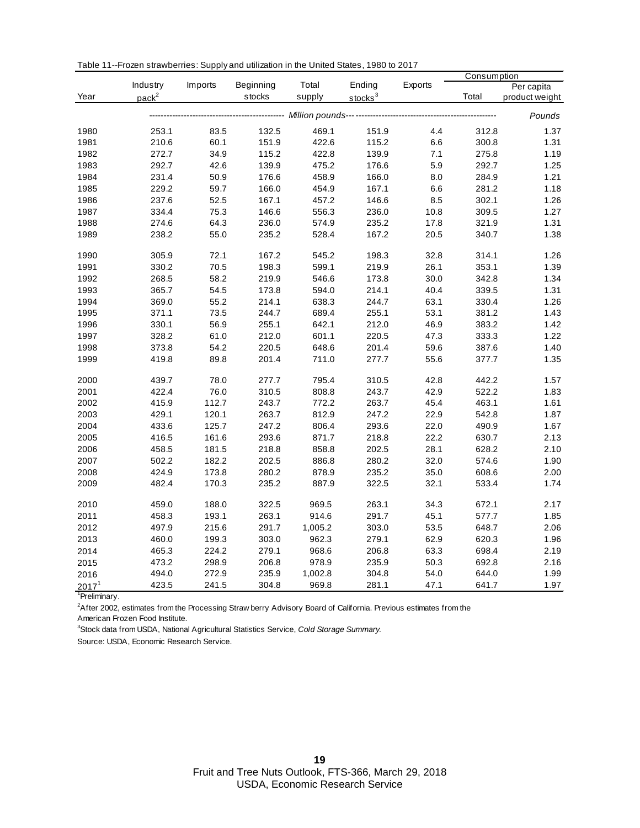|  | Table 11--Frozen strawberries: Supply and utilization in the United States, 1980 to 2017 |
|--|------------------------------------------------------------------------------------------|
|--|------------------------------------------------------------------------------------------|

|                                   |                   |         |           |         |                     |           | Consumption |                |
|-----------------------------------|-------------------|---------|-----------|---------|---------------------|-----------|-------------|----------------|
|                                   | Industry          | Imports | Beginning | Total   | Ending              | Exports   |             | Per capita     |
| Year                              | pack <sup>2</sup> |         | stocks    | supply  | stocks <sup>3</sup> |           | Total       | product weight |
|                                   |                   |         |           |         |                     |           |             | Pounds         |
| 1980                              | 253.1             | 83.5    | 132.5     | 469.1   | 151.9               | 4.4       | 312.8       | 1.37           |
| 1981                              | 210.6             | 60.1    | 151.9     | 422.6   | 115.2               | $6.6\,$   | 300.8       | 1.31           |
| 1982                              | 272.7             | 34.9    | 115.2     | 422.8   | 139.9               | 7.1       | 275.8       | 1.19           |
| 1983                              | 292.7             | 42.6    | 139.9     | 475.2   | 176.6               | 5.9       | 292.7       | 1.25           |
| 1984                              | 231.4             | 50.9    | 176.6     | 458.9   | 166.0               | $\bf 8.0$ | 284.9       | 1.21           |
| 1985                              | 229.2             | 59.7    | 166.0     | 454.9   | 167.1               | 6.6       | 281.2       | 1.18           |
| 1986                              | 237.6             | 52.5    | 167.1     | 457.2   | 146.6               | 8.5       | 302.1       | 1.26           |
| 1987                              | 334.4             | 75.3    | 146.6     | 556.3   | 236.0               | 10.8      | 309.5       | 1.27           |
| 1988                              | 274.6             | 64.3    | 236.0     | 574.9   | 235.2               | 17.8      | 321.9       | 1.31           |
| 1989                              | 238.2             | 55.0    | 235.2     | 528.4   | 167.2               | 20.5      | 340.7       | 1.38           |
| 1990                              | 305.9             | 72.1    | 167.2     | 545.2   | 198.3               | 32.8      | 314.1       | 1.26           |
| 1991                              | 330.2             | 70.5    | 198.3     | 599.1   | 219.9               | 26.1      | 353.1       | 1.39           |
| 1992                              | 268.5             | 58.2    | 219.9     | 546.6   | 173.8               | 30.0      | 342.8       | 1.34           |
| 1993                              | 365.7             | 54.5    | 173.8     | 594.0   | 214.1               | 40.4      | 339.5       | 1.31           |
| 1994                              | 369.0             | 55.2    | 214.1     | 638.3   | 244.7               | 63.1      | 330.4       | 1.26           |
| 1995                              | 371.1             | 73.5    | 244.7     | 689.4   | 255.1               | 53.1      | 381.2       | 1.43           |
| 1996                              | 330.1             | 56.9    | 255.1     | 642.1   | 212.0               | 46.9      | 383.2       | 1.42           |
| 1997                              | 328.2             | 61.0    | 212.0     | 601.1   | 220.5               | 47.3      | 333.3       | 1.22           |
| 1998                              | 373.8             | 54.2    | 220.5     | 648.6   | 201.4               | 59.6      | 387.6       | 1.40           |
| 1999                              | 419.8             | 89.8    | 201.4     | 711.0   | 277.7               | 55.6      | 377.7       | 1.35           |
| 2000                              | 439.7             | 78.0    | 277.7     | 795.4   | 310.5               | 42.8      | 442.2       | 1.57           |
| 2001                              | 422.4             | 76.0    | 310.5     | 808.8   | 243.7               | 42.9      | 522.2       | 1.83           |
| 2002                              | 415.9             | 112.7   | 243.7     | 772.2   | 263.7               | 45.4      | 463.1       | 1.61           |
| 2003                              | 429.1             | 120.1   | 263.7     | 812.9   | 247.2               | 22.9      | 542.8       | 1.87           |
| 2004                              | 433.6             | 125.7   | 247.2     | 806.4   | 293.6               | 22.0      | 490.9       | 1.67           |
| 2005                              | 416.5             | 161.6   | 293.6     | 871.7   | 218.8               | 22.2      | 630.7       | 2.13           |
| 2006                              | 458.5             | 181.5   | 218.8     | 858.8   | 202.5               | 28.1      | 628.2       | 2.10           |
| 2007                              | 502.2             | 182.2   | 202.5     | 886.8   | 280.2               | 32.0      | 574.6       | 1.90           |
| 2008                              | 424.9             | 173.8   | 280.2     | 878.9   | 235.2               | 35.0      | 608.6       | 2.00           |
| 2009                              | 482.4             | 170.3   | 235.2     | 887.9   | 322.5               | 32.1      | 533.4       | 1.74           |
| 2010                              | 459.0             | 188.0   | 322.5     | 969.5   | 263.1               | 34.3      | 672.1       | 2.17           |
| 2011                              | 458.3             | 193.1   | 263.1     | 914.6   | 291.7               | 45.1      | 577.7       | 1.85           |
| 2012                              | 497.9             | 215.6   | 291.7     | 1,005.2 | 303.0               | 53.5      | 648.7       | 2.06           |
| 2013                              | 460.0             | 199.3   | 303.0     | 962.3   | 279.1               | 62.9      | 620.3       | 1.96           |
| 2014                              | 465.3             | 224.2   | 279.1     | 968.6   | 206.8               | 63.3      | 698.4       | 2.19           |
| 2015                              | 473.2             | 298.9   | 206.8     | 978.9   | 235.9               | 50.3      | 692.8       | 2.16           |
| 2016                              | 494.0             | 272.9   | 235.9     | 1,002.8 | 304.8               | 54.0      | 644.0       | 1.99           |
| 2017 <sup>1</sup><br>$1$ Drolimis | 423.5             | 241.5   | 304.8     | 969.8   | 281.1               | 47.1      | 641.7       | 1.97           |

<sup>1</sup>Preliminary.

After 2002, estimates from the Processing Straw berry Advisory Board of California. Previous estimates from the

American Frozen Food Institute.

Stock data from USDA, National Agricultural Statistics Service, *Cold Storage Summary.*

Source: USDA, Economic Research Service.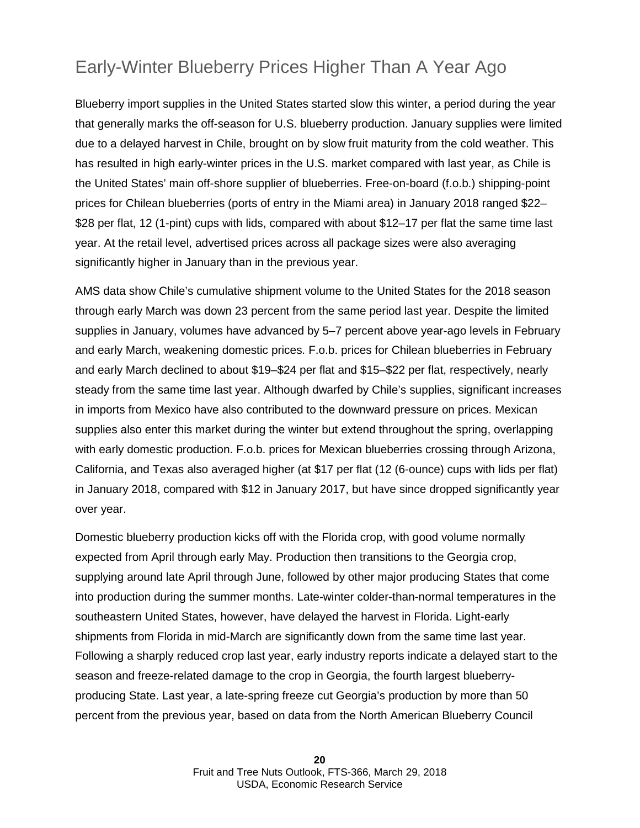### Early-Winter Blueberry Prices Higher Than A Year Ago

Blueberry import supplies in the United States started slow this winter, a period during the year that generally marks the off-season for U.S. blueberry production. January supplies were limited due to a delayed harvest in Chile, brought on by slow fruit maturity from the cold weather. This has resulted in high early-winter prices in the U.S. market compared with last year, as Chile is the United States' main off-shore supplier of blueberries. Free-on-board (f.o.b.) shipping-point prices for Chilean blueberries (ports of entry in the Miami area) in January 2018 ranged \$22– \$28 per flat, 12 (1-pint) cups with lids, compared with about \$12–17 per flat the same time last year. At the retail level, advertised prices across all package sizes were also averaging significantly higher in January than in the previous year.

AMS data show Chile's cumulative shipment volume to the United States for the 2018 season through early March was down 23 percent from the same period last year. Despite the limited supplies in January, volumes have advanced by 5–7 percent above year-ago levels in February and early March, weakening domestic prices. F.o.b. prices for Chilean blueberries in February and early March declined to about \$19–\$24 per flat and \$15–\$22 per flat, respectively, nearly steady from the same time last year. Although dwarfed by Chile's supplies, significant increases in imports from Mexico have also contributed to the downward pressure on prices. Mexican supplies also enter this market during the winter but extend throughout the spring, overlapping with early domestic production. F.o.b. prices for Mexican blueberries crossing through Arizona, California, and Texas also averaged higher (at \$17 per flat (12 (6-ounce) cups with lids per flat) in January 2018, compared with \$12 in January 2017, but have since dropped significantly year over year.

Domestic blueberry production kicks off with the Florida crop, with good volume normally expected from April through early May. Production then transitions to the Georgia crop, supplying around late April through June, followed by other major producing States that come into production during the summer months. Late-winter colder-than-normal temperatures in the southeastern United States, however, have delayed the harvest in Florida. Light-early shipments from Florida in mid-March are significantly down from the same time last year. Following a sharply reduced crop last year, early industry reports indicate a delayed start to the season and freeze-related damage to the crop in Georgia, the fourth largest blueberryproducing State. Last year, a late-spring freeze cut Georgia's production by more than 50 percent from the previous year, based on data from the North American Blueberry Council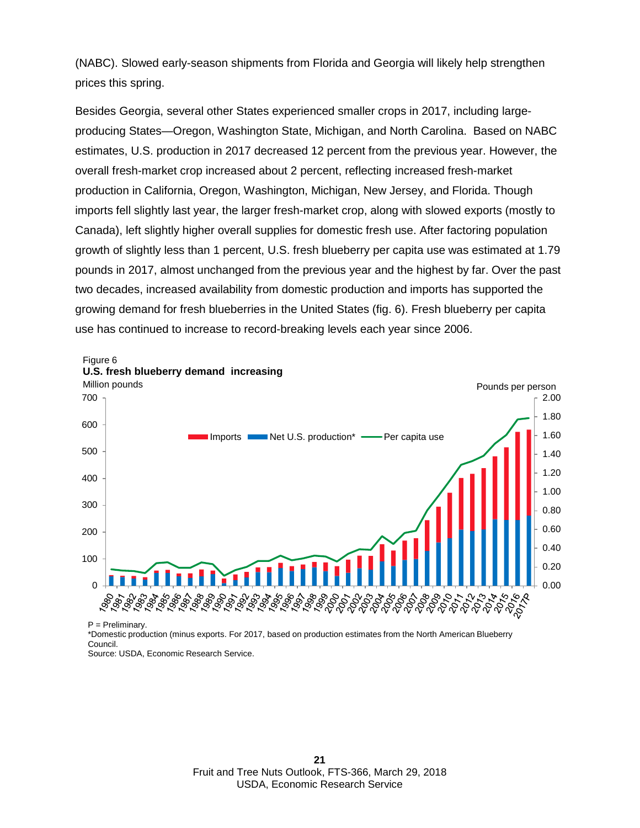(NABC). Slowed early-season shipments from Florida and Georgia will likely help strengthen prices this spring.

Besides Georgia, several other States experienced smaller crops in 2017, including largeproducing States—Oregon, Washington State, Michigan, and North Carolina. Based on NABC estimates, U.S. production in 2017 decreased 12 percent from the previous year. However, the overall fresh-market crop increased about 2 percent, reflecting increased fresh-market production in California, Oregon, Washington, Michigan, New Jersey, and Florida. Though imports fell slightly last year, the larger fresh-market crop, along with slowed exports (mostly to Canada), left slightly higher overall supplies for domestic fresh use. After factoring population growth of slightly less than 1 percent, U.S. fresh blueberry per capita use was estimated at 1.79 pounds in 2017, almost unchanged from the previous year and the highest by far. Over the past two decades, increased availability from domestic production and imports has supported the growing demand for fresh blueberries in the United States (fig. 6). Fresh blueberry per capita use has continued to increase to record-breaking levels each year since 2006.



P = Preliminary.

\*Domestic production (minus exports. For 2017, based on production estimates from the North American Blueberry Council.

Source: USDA, Economic Research Service.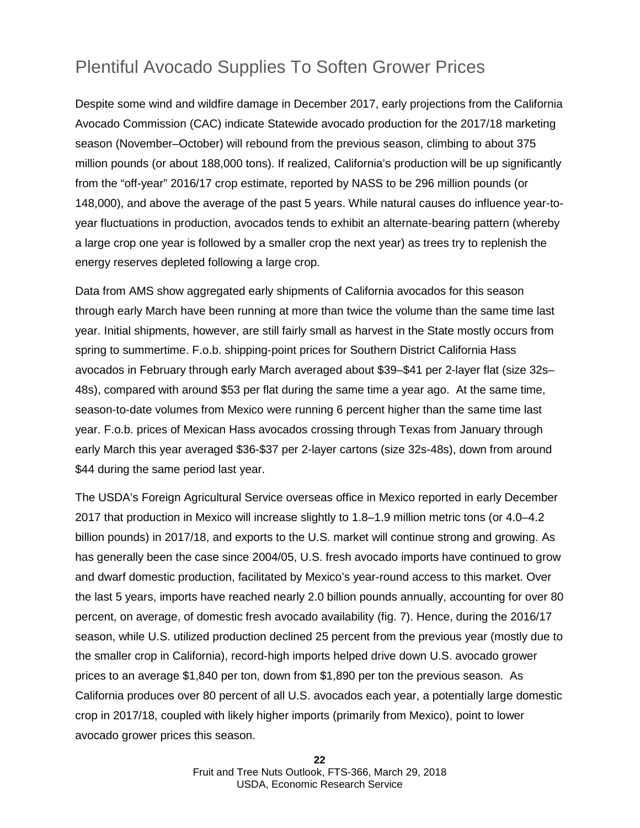### Plentiful Avocado Supplies To Soften Grower Prices

Despite some wind and wildfire damage in December 2017, early projections from the California Avocado Commission (CAC) indicate Statewide avocado production for the 2017/18 marketing season (November–October) will rebound from the previous season, climbing to about 375 million pounds (or about 188,000 tons). If realized, California's production will be up significantly from the "off-year" 2016/17 crop estimate, reported by NASS to be 296 million pounds (or 148,000), and above the average of the past 5 years. While natural causes do influence year-toyear fluctuations in production, avocados tends to exhibit an alternate-bearing pattern (whereby a large crop one year is followed by a smaller crop the next year) as trees try to replenish the energy reserves depleted following a large crop.

Data from AMS show aggregated early shipments of California avocados for this season through early March have been running at more than twice the volume than the same time last year. Initial shipments, however, are still fairly small as harvest in the State mostly occurs from spring to summertime. F.o.b. shipping-point prices for Southern District California Hass avocados in February through early March averaged about \$39–\$41 per 2-layer flat (size 32s– 48s), compared with around \$53 per flat during the same time a year ago. At the same time, season-to-date volumes from Mexico were running 6 percent higher than the same time last year. F.o.b. prices of Mexican Hass avocados crossing through Texas from January through early March this year averaged \$36-\$37 per 2-layer cartons (size 32s-48s), down from around \$44 during the same period last year.

The USDA's Foreign Agricultural Service overseas office in Mexico reported in early December 2017 that production in Mexico will increase slightly to 1.8–1.9 million metric tons (or 4.0–4.2 billion pounds) in 2017/18, and exports to the U.S. market will continue strong and growing. As has generally been the case since 2004/05, U.S. fresh avocado imports have continued to grow and dwarf domestic production, facilitated by Mexico's year-round access to this market. Over the last 5 years, imports have reached nearly 2.0 billion pounds annually, accounting for over 80 percent, on average, of domestic fresh avocado availability (fig. 7). Hence, during the 2016/17 season, while U.S. utilized production declined 25 percent from the previous year (mostly due to the smaller crop in California), record-high imports helped drive down U.S. avocado grower prices to an average \$1,840 per ton, down from \$1,890 per ton the previous season. As California produces over 80 percent of all U.S. avocados each year, a potentially large domestic crop in 2017/18, coupled with likely higher imports (primarily from Mexico), point to lower avocado grower prices this season.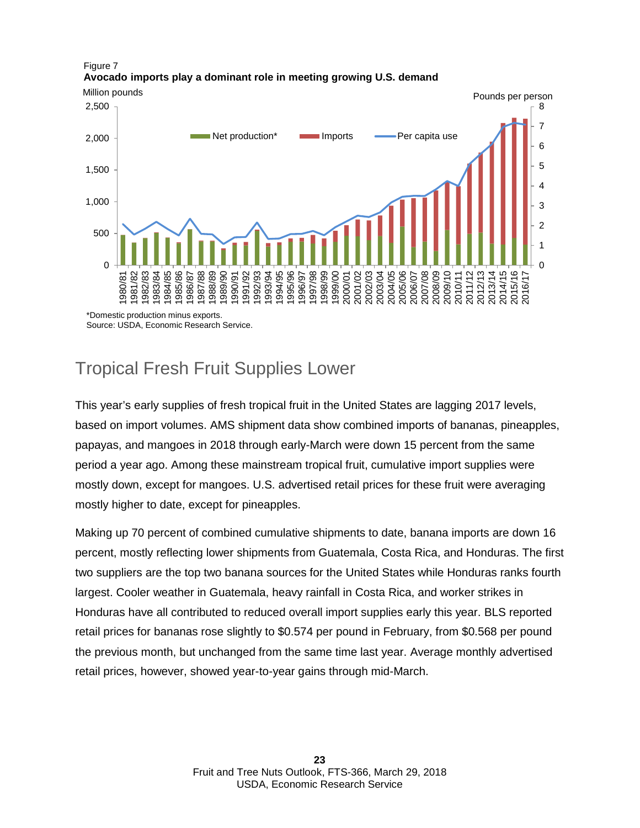

#### Figure 7 **Avocado imports play a dominant role in meeting growing U.S. demand**

### Tropical Fresh Fruit Supplies Lower

This year's early supplies of fresh tropical fruit in the United States are lagging 2017 levels, based on import volumes. AMS shipment data show combined imports of bananas, pineapples, papayas, and mangoes in 2018 through early-March were down 15 percent from the same period a year ago. Among these mainstream tropical fruit, cumulative import supplies were mostly down, except for mangoes. U.S. advertised retail prices for these fruit were averaging mostly higher to date, except for pineapples.

Making up 70 percent of combined cumulative shipments to date, banana imports are down 16 percent, mostly reflecting lower shipments from Guatemala, Costa Rica, and Honduras. The first two suppliers are the top two banana sources for the United States while Honduras ranks fourth largest. Cooler weather in Guatemala, heavy rainfall in Costa Rica, and worker strikes in Honduras have all contributed to reduced overall import supplies early this year. BLS reported retail prices for bananas rose slightly to \$0.574 per pound in February, from \$0.568 per pound the previous month, but unchanged from the same time last year. Average monthly advertised retail prices, however, showed year-to-year gains through mid-March.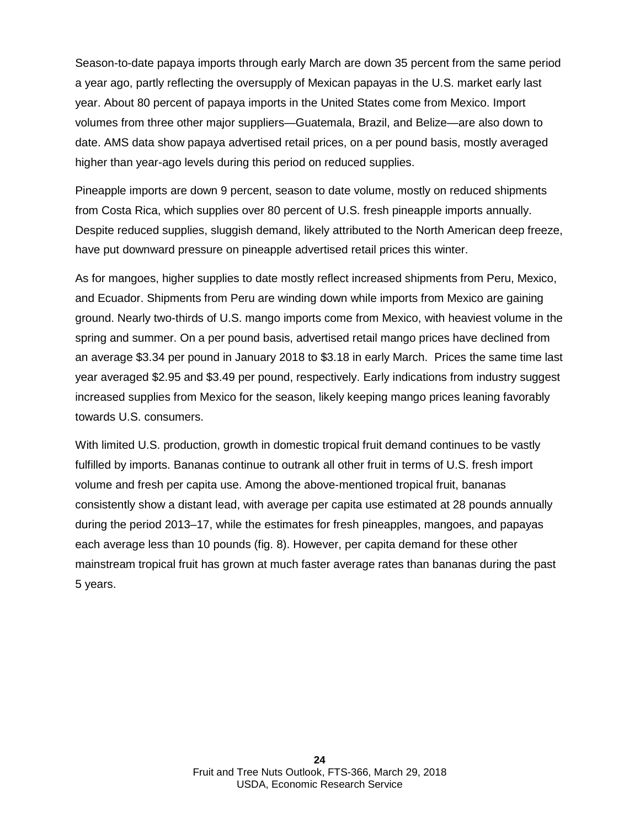Season-to-date papaya imports through early March are down 35 percent from the same period a year ago, partly reflecting the oversupply of Mexican papayas in the U.S. market early last year. About 80 percent of papaya imports in the United States come from Mexico. Import volumes from three other major suppliers—Guatemala, Brazil, and Belize—are also down to date. AMS data show papaya advertised retail prices, on a per pound basis, mostly averaged higher than year-ago levels during this period on reduced supplies.

Pineapple imports are down 9 percent, season to date volume, mostly on reduced shipments from Costa Rica, which supplies over 80 percent of U.S. fresh pineapple imports annually. Despite reduced supplies, sluggish demand, likely attributed to the North American deep freeze, have put downward pressure on pineapple advertised retail prices this winter.

As for mangoes, higher supplies to date mostly reflect increased shipments from Peru, Mexico, and Ecuador. Shipments from Peru are winding down while imports from Mexico are gaining ground. Nearly two-thirds of U.S. mango imports come from Mexico, with heaviest volume in the spring and summer. On a per pound basis, advertised retail mango prices have declined from an average \$3.34 per pound in January 2018 to \$3.18 in early March. Prices the same time last year averaged \$2.95 and \$3.49 per pound, respectively. Early indications from industry suggest increased supplies from Mexico for the season, likely keeping mango prices leaning favorably towards U.S. consumers.

With limited U.S. production, growth in domestic tropical fruit demand continues to be vastly fulfilled by imports. Bananas continue to outrank all other fruit in terms of U.S. fresh import volume and fresh per capita use. Among the above-mentioned tropical fruit, bananas consistently show a distant lead, with average per capita use estimated at 28 pounds annually during the period 2013–17, while the estimates for fresh pineapples, mangoes, and papayas each average less than 10 pounds (fig. 8). However, per capita demand for these other mainstream tropical fruit has grown at much faster average rates than bananas during the past 5 years.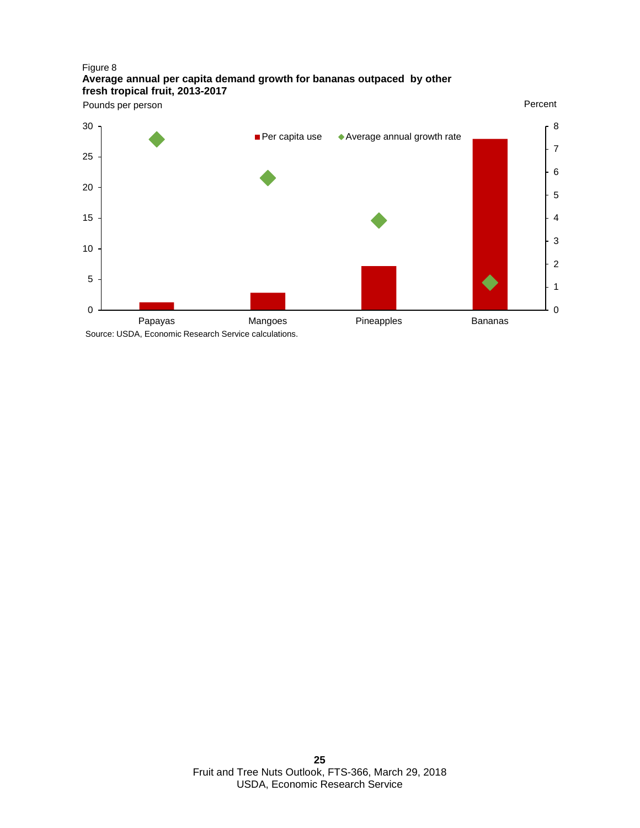#### Figure 8 **Average annual per capita demand growth for bananas outpaced by other fresh tropical fruit, 2013-2017**



 Fruit and Tree Nuts Outlook, FTS-366, March 29, 2018 USDA, Economic Research Service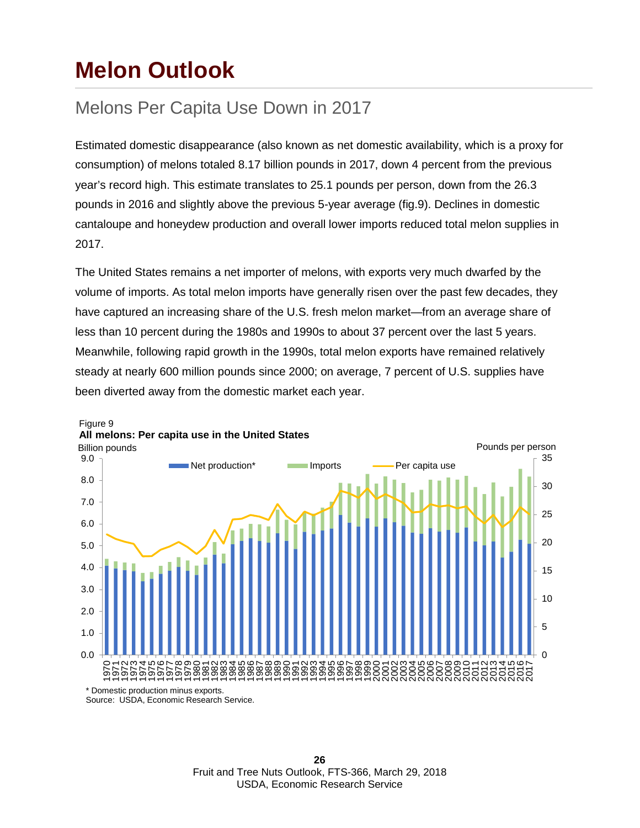## **Melon Outlook**

### Melons Per Capita Use Down in 2017

Estimated domestic disappearance (also known as net domestic availability, which is a proxy for consumption) of melons totaled 8.17 billion pounds in 2017, down 4 percent from the previous year's record high. This estimate translates to 25.1 pounds per person, down from the 26.3 pounds in 2016 and slightly above the previous 5-year average (fig.9). Declines in domestic cantaloupe and honeydew production and overall lower imports reduced total melon supplies in 2017.

The United States remains a net importer of melons, with exports very much dwarfed by the volume of imports. As total melon imports have generally risen over the past few decades, they have captured an increasing share of the U.S. fresh melon market—from an average share of less than 10 percent during the 1980s and 1990s to about 37 percent over the last 5 years. Meanwhile, following rapid growth in the 1990s, total melon exports have remained relatively steady at nearly 600 million pounds since 2000; on average, 7 percent of U.S. supplies have been diverted away from the domestic market each year.



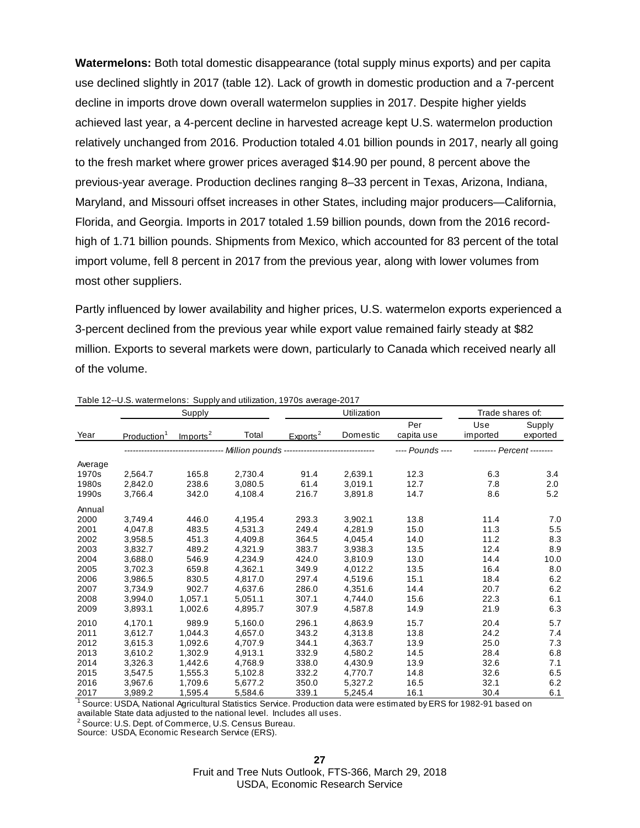**Watermelons:** Both total domestic disappearance (total supply minus exports) and per capita use declined slightly in 2017 (table 12). Lack of growth in domestic production and a 7-percent decline in imports drove down overall watermelon supplies in 2017. Despite higher yields achieved last year, a 4-percent decline in harvested acreage kept U.S. watermelon production relatively unchanged from 2016. Production totaled 4.01 billion pounds in 2017, nearly all going to the fresh market where grower prices averaged \$14.90 per pound, 8 percent above the previous-year average. Production declines ranging 8–33 percent in Texas, Arizona, Indiana, Maryland, and Missouri offset increases in other States, including major producers—California, Florida, and Georgia. Imports in 2017 totaled 1.59 billion pounds, down from the 2016 recordhigh of 1.71 billion pounds. Shipments from Mexico, which accounted for 83 percent of the total import volume, fell 8 percent in 2017 from the previous year, along with lower volumes from most other suppliers.

Partly influenced by lower availability and higher prices, U.S. watermelon exports experienced a 3-percent declined from the previous year while export value remained fairly steady at \$82 million. Exports to several markets were down, particularly to Canada which received nearly all of the volume.

|         |                         | . <i>natomiono</i> . <i>ouppy</i><br>Supply |         |                                                 | Utilization | Trade shares of:  |                           |                    |
|---------|-------------------------|---------------------------------------------|---------|-------------------------------------------------|-------------|-------------------|---------------------------|--------------------|
| Year    | Production <sup>1</sup> | Imports <sup>2</sup>                        | Total   | Exports <sup>2</sup>                            | Domestic    | Per<br>capita use | Use<br>imported           | Supply<br>exported |
|         |                         |                                             |         | - Million pounds ------------------------------ |             | $--$ Pounds $---$ | -------- Percent -------- |                    |
| Average |                         |                                             |         |                                                 |             |                   |                           |                    |
| 1970s   | 2.564.7                 | 165.8                                       | 2.730.4 | 91.4                                            | 2,639.1     | 12.3              | 6.3                       | 3.4                |
| 1980s   | 2,842.0                 | 238.6                                       | 3,080.5 | 61.4                                            | 3,019.1     | 12.7              | 7.8                       | 2.0                |
| 1990s   | 3,766.4                 | 342.0                                       | 4,108.4 | 216.7                                           | 3,891.8     | 14.7              | 8.6                       | 5.2                |
| Annual  |                         |                                             |         |                                                 |             |                   |                           |                    |
| 2000    | 3.749.4                 | 446.0                                       | 4,195.4 | 293.3                                           | 3,902.1     | 13.8              | 11.4                      | 7.0                |
| 2001    | 4,047.8                 | 483.5                                       | 4,531.3 | 249.4                                           | 4,281.9     | 15.0              | 11.3                      | 5.5                |
| 2002    | 3.958.5                 | 451.3                                       | 4.409.8 | 364.5                                           | 4.045.4     | 14.0              | 11.2                      | 8.3                |
| 2003    | 3.832.7                 | 489.2                                       | 4.321.9 | 383.7                                           | 3.938.3     | 13.5              | 12.4                      | 8.9                |
| 2004    | 3,688.0                 | 546.9                                       | 4,234.9 | 424.0                                           | 3,810.9     | 13.0              | 14.4                      | 10.0               |
| 2005    | 3.702.3                 | 659.8                                       | 4,362.1 | 349.9                                           | 4.012.2     | 13.5              | 16.4                      | 0.8                |
| 2006    | 3,986.5                 | 830.5                                       | 4,817.0 | 297.4                                           | 4.519.6     | 15.1              | 18.4                      | 6.2                |
| 2007    | 3,734.9                 | 902.7                                       | 4,637.6 | 286.0                                           | 4,351.6     | 14.4              | 20.7                      | 6.2                |
| 2008    | 3,994.0                 | 1.057.1                                     | 5.051.1 | 307.1                                           | 4.744.0     | 15.6              | 22.3                      | 6.1                |
| 2009    | 3,893.1                 | 1,002.6                                     | 4,895.7 | 307.9                                           | 4.587.8     | 14.9              | 21.9                      | 6.3                |
| 2010    | 4,170.1                 | 989.9                                       | 5,160.0 | 296.1                                           | 4,863.9     | 15.7              | 20.4                      | 5.7                |
| 2011    | 3,612.7                 | 1.044.3                                     | 4,657.0 | 343.2                                           | 4,313.8     | 13.8              | 24.2                      | 7.4                |
| 2012    | 3,615.3                 | 1.092.6                                     | 4.707.9 | 344.1                                           | 4.363.7     | 13.9              | 25.0                      | 7.3                |
| 2013    | 3,610.2                 | 1,302.9                                     | 4,913.1 | 332.9                                           | 4,580.2     | 14.5              | 28.4                      | 6.8                |
| 2014    | 3,326.3                 | 1,442.6                                     | 4.768.9 | 338.0                                           | 4,430.9     | 13.9              | 32.6                      | 7.1                |
| 2015    | 3,547.5                 | 1,555.3                                     | 5,102.8 | 332.2                                           | 4,770.7     | 14.8              | 32.6                      | 6.5                |
| 2016    | 3,967.6                 | 1.709.6                                     | 5.677.2 | 350.0                                           | 5,327.2     | 16.5              | 32.1                      | 6.2                |
| 2017    | 3,989.2                 | 1,595.4                                     | 5,584.6 | 339.1                                           | 5.245.4     | 16.1              | 30.4                      | 6.1                |

Table 12--U.S. watermelons: Supply and utilization, 1970s average-2017

available State data adjusted to the national level. Includes all uses. <sup>1</sup> Source: USDA, National Agricultural Statistics Service. Production data were estimated by ERS for 1982-91 based on

2 Source: U.S. Dept. of Commerce, U.S. Census Bureau.

Source: USDA, Economic Research Service (ERS).

Fruit and Tree Nuts Outlook, FTS-366, March 29, 2018 USDA, Economic Research Service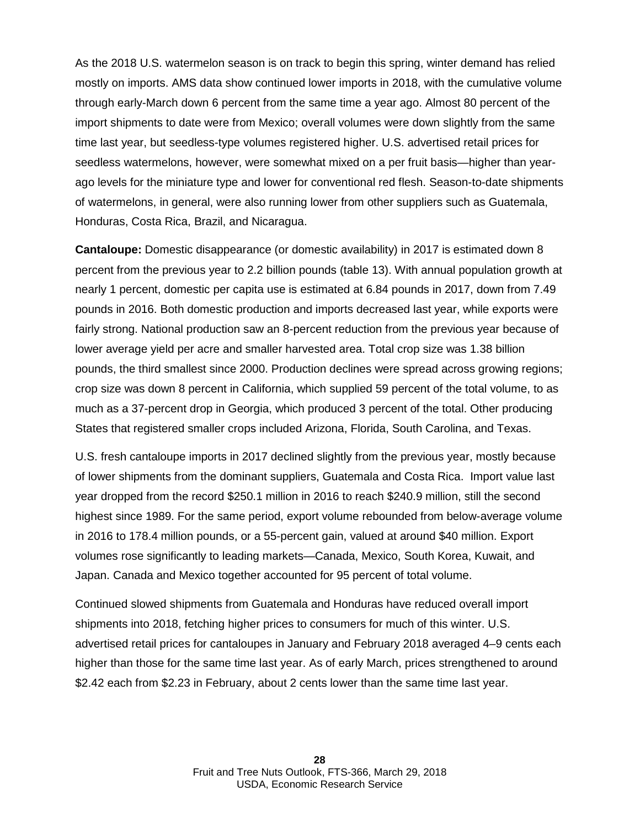As the 2018 U.S. watermelon season is on track to begin this spring, winter demand has relied mostly on imports. AMS data show continued lower imports in 2018, with the cumulative volume through early-March down 6 percent from the same time a year ago. Almost 80 percent of the import shipments to date were from Mexico; overall volumes were down slightly from the same time last year, but seedless-type volumes registered higher. U.S. advertised retail prices for seedless watermelons, however, were somewhat mixed on a per fruit basis—higher than yearago levels for the miniature type and lower for conventional red flesh. Season-to-date shipments of watermelons, in general, were also running lower from other suppliers such as Guatemala, Honduras, Costa Rica, Brazil, and Nicaragua.

**Cantaloupe:** Domestic disappearance (or domestic availability) in 2017 is estimated down 8 percent from the previous year to 2.2 billion pounds (table 13). With annual population growth at nearly 1 percent, domestic per capita use is estimated at 6.84 pounds in 2017, down from 7.49 pounds in 2016. Both domestic production and imports decreased last year, while exports were fairly strong. National production saw an 8-percent reduction from the previous year because of lower average yield per acre and smaller harvested area. Total crop size was 1.38 billion pounds, the third smallest since 2000. Production declines were spread across growing regions; crop size was down 8 percent in California, which supplied 59 percent of the total volume, to as much as a 37-percent drop in Georgia, which produced 3 percent of the total. Other producing States that registered smaller crops included Arizona, Florida, South Carolina, and Texas.

U.S. fresh cantaloupe imports in 2017 declined slightly from the previous year, mostly because of lower shipments from the dominant suppliers, Guatemala and Costa Rica. Import value last year dropped from the record \$250.1 million in 2016 to reach \$240.9 million, still the second highest since 1989. For the same period, export volume rebounded from below-average volume in 2016 to 178.4 million pounds, or a 55-percent gain, valued at around \$40 million. Export volumes rose significantly to leading markets—Canada, Mexico, South Korea, Kuwait, and Japan. Canada and Mexico together accounted for 95 percent of total volume.

Continued slowed shipments from Guatemala and Honduras have reduced overall import shipments into 2018, fetching higher prices to consumers for much of this winter. U.S. advertised retail prices for cantaloupes in January and February 2018 averaged 4–9 cents each higher than those for the same time last year. As of early March, prices strengthened to around \$2.42 each from \$2.23 in February, about 2 cents lower than the same time last year.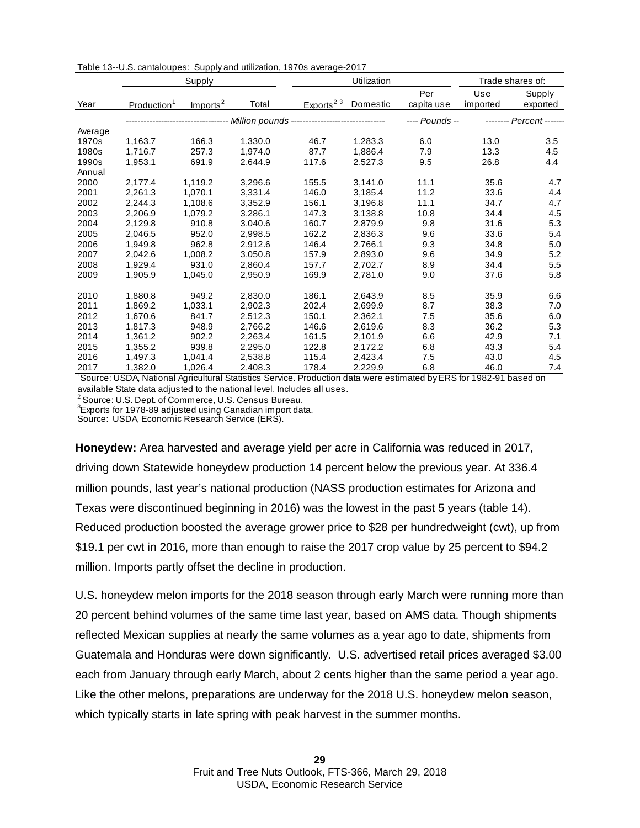|         | Supply                  |                      |                                                                       | Utilization           |          |                | Trade shares of: |                          |
|---------|-------------------------|----------------------|-----------------------------------------------------------------------|-----------------------|----------|----------------|------------------|--------------------------|
|         |                         |                      |                                                                       |                       |          | Per            | Use              | Supply                   |
| Year    | Production <sup>1</sup> | Imports <sup>2</sup> | Total                                                                 | Exports <sup>23</sup> | Domestic | capita use     | imported         | exported                 |
|         |                         |                      | --------------------- Million pounds -------------------------------- |                       |          | ---- Pounds -- |                  | -------- Percent ------- |
| Average |                         |                      |                                                                       |                       |          |                |                  |                          |
| 1970s   | 1.163.7                 | 166.3                | 1,330.0                                                               | 46.7                  | 1.283.3  | 6.0            | 13.0             | 3.5                      |
| 1980s   | 1.716.7                 | 257.3                | 1.974.0                                                               | 87.7                  | 1.886.4  | 7.9            | 13.3             | 4.5                      |
| 1990s   | 1,953.1                 | 691.9                | 2,644.9                                                               | 117.6                 | 2,527.3  | 9.5            | 26.8             | 4.4                      |
| Annual  |                         |                      |                                                                       |                       |          |                |                  |                          |
| 2000    | 2,177.4                 | 1,119.2              | 3,296.6                                                               | 155.5                 | 3,141.0  | 11.1           | 35.6             | 4.7                      |
| 2001    | 2,261.3                 | 1.070.1              | 3,331.4                                                               | 146.0                 | 3.185.4  | 11.2           | 33.6             | 4.4                      |
| 2002    | 2,244.3                 | 1,108.6              | 3,352.9                                                               | 156.1                 | 3,196.8  | 11.1           | 34.7             | 4.7                      |
| 2003    | 2,206.9                 | 1,079.2              | 3,286.1                                                               | 147.3                 | 3,138.8  | 10.8           | 34.4             | 4.5                      |
| 2004    | 2,129.8                 | 910.8                | 3,040.6                                                               | 160.7                 | 2,879.9  | 9.8            | 31.6             | 5.3                      |
| 2005    | 2.046.5                 | 952.0                | 2.998.5                                                               | 162.2                 | 2.836.3  | 9.6            | 33.6             | 5.4                      |
| 2006    | 1.949.8                 | 962.8                | 2,912.6                                                               | 146.4                 | 2,766.1  | 9.3            | 34.8             | 5.0                      |
| 2007    | 2.042.6                 | 1.008.2              | 3.050.8                                                               | 157.9                 | 2,893.0  | 9.6            | 34.9             | 5.2                      |
| 2008    | 1,929.4                 | 931.0                | 2,860.4                                                               | 157.7                 | 2,702.7  | 8.9            | 34.4             | 5.5                      |
| 2009    | 1,905.9                 | 1,045.0              | 2,950.9                                                               | 169.9                 | 2,781.0  | 9.0            | 37.6             | 5.8                      |
| 2010    | 1,880.8                 | 949.2                | 2,830.0                                                               | 186.1                 | 2,643.9  | 8.5            | 35.9             | 6.6                      |
| 2011    | 1,869.2                 | 1,033.1              | 2,902.3                                                               | 202.4                 | 2.699.9  | 8.7            | 38.3             | 7.0                      |
| 2012    | 1.670.6                 | 841.7                | 2,512.3                                                               | 150.1                 | 2,362.1  | 7.5            | 35.6             | 6.0                      |
| 2013    | 1,817.3                 | 948.9                | 2,766.2                                                               | 146.6                 | 2,619.6  | 8.3            | 36.2             | 5.3                      |
| 2014    | 1,361.2                 | 902.2                | 2,263.4                                                               | 161.5                 | 2,101.9  | 6.6            | 42.9             | 7.1                      |
| 2015    | 1,355.2                 | 939.8                | 2,295.0                                                               | 122.8                 | 2,172.2  | 6.8            | 43.3             | 5.4                      |
| 2016    | 1,497.3                 | 1,041.4              | 2,538.8                                                               | 115.4                 | 2,423.4  | 7.5            | 43.0             | 4.5                      |
| 2017    | 1.382.0                 | 1,026.4              | 2.408.3                                                               | 178.4                 | 2,229.9  | 6.8            | 46.0             | 7.4                      |

Table 13--U.S. cantaloupes: Supply and utilization, 1970s average-2017

1 Source: USDA, National Agricultural Statistics Service. Production data were estimated by ERS for 1982-91 based on available State data adjusted to the national level. Includes all uses.

 $2^{2}$  Source: U.S. Dept. of Commerce, U.S. Census Bureau.

 ${}^{3}$ Exports for 1978-89 adjusted using Canadian import data.

Source: USDA, Economic Research Service (ERS).

**Honeydew:** Area harvested and average yield per acre in California was reduced in 2017, driving down Statewide honeydew production 14 percent below the previous year. At 336.4 million pounds, last year's national production (NASS production estimates for Arizona and Texas were discontinued beginning in 2016) was the lowest in the past 5 years (table 14). Reduced production boosted the average grower price to \$28 per hundredweight (cwt), up from \$19.1 per cwt in 2016, more than enough to raise the 2017 crop value by 25 percent to \$94.2 million. Imports partly offset the decline in production.

U.S. honeydew melon imports for the 2018 season through early March were running more than 20 percent behind volumes of the same time last year, based on AMS data. Though shipments reflected Mexican supplies at nearly the same volumes as a year ago to date, shipments from Guatemala and Honduras were down significantly. U.S. advertised retail prices averaged \$3.00 each from January through early March, about 2 cents higher than the same period a year ago. Like the other melons, preparations are underway for the 2018 U.S. honeydew melon season, which typically starts in late spring with peak harvest in the summer months.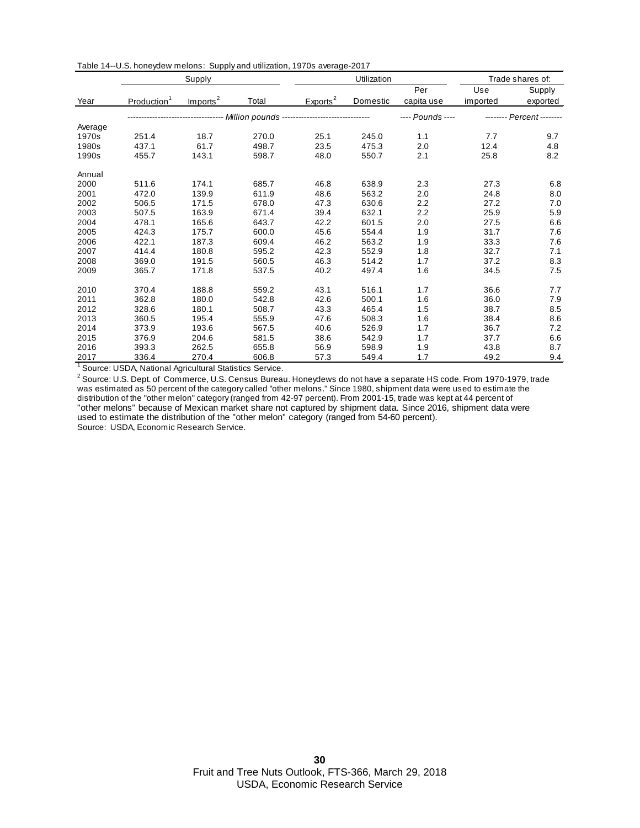|         | Supply                  |                      |                                                                     |                      | Utilization |                  |          | Trade shares of:          |  |
|---------|-------------------------|----------------------|---------------------------------------------------------------------|----------------------|-------------|------------------|----------|---------------------------|--|
|         |                         |                      |                                                                     |                      |             | Per              | Use      | Supply                    |  |
| Year    | Production <sup>1</sup> | Imports <sup>2</sup> | Total                                                               | Exports <sup>2</sup> | Domestic    | capita use       | imported | exported                  |  |
|         |                         |                      | -------------------- Million pounds ------------------------------- |                      |             | ---- Pounds ---- |          | -------- Percent -------- |  |
| Average |                         |                      |                                                                     |                      |             |                  |          |                           |  |
| 1970s   | 251.4                   | 18.7                 | 270.0                                                               | 25.1                 | 245.0       | 1.1              | 7.7      | 9.7                       |  |
| 1980s   | 437.1                   | 61.7                 | 498.7                                                               | 23.5                 | 475.3       | 2.0              | 12.4     | 4.8                       |  |
| 1990s   | 455.7                   | 143.1                | 598.7                                                               | 48.0                 | 550.7       | 2.1              | 25.8     | 8.2                       |  |
| Annual  |                         |                      |                                                                     |                      |             |                  |          |                           |  |
| 2000    | 511.6                   | 174.1                | 685.7                                                               | 46.8                 | 638.9       | 2.3              | 27.3     | 6.8                       |  |
| 2001    | 472.0                   | 139.9                | 611.9                                                               | 48.6                 | 563.2       | 2.0              | 24.8     | 8.0                       |  |
| 2002    | 506.5                   | 171.5                | 678.0                                                               | 47.3                 | 630.6       | 2.2              | 27.2     | 7.0                       |  |
| 2003    | 507.5                   | 163.9                | 671.4                                                               | 39.4                 | 632.1       | 2.2              | 25.9     | 5.9                       |  |
| 2004    | 478.1                   | 165.6                | 643.7                                                               | 42.2                 | 601.5       | 2.0              | 27.5     | 6.6                       |  |
| 2005    | 424.3                   | 175.7                | 600.0                                                               | 45.6                 | 554.4       | 1.9              | 31.7     | 7.6                       |  |
| 2006    | 422.1                   | 187.3                | 609.4                                                               | 46.2                 | 563.2       | 1.9              | 33.3     | 7.6                       |  |
| 2007    | 414.4                   | 180.8                | 595.2                                                               | 42.3                 | 552.9       | 1.8              | 32.7     | 7.1                       |  |
| 2008    | 369.0                   | 191.5                | 560.5                                                               | 46.3                 | 514.2       | 1.7              | 37.2     | 8.3                       |  |
| 2009    | 365.7                   | 171.8                | 537.5                                                               | 40.2                 | 497.4       | 1.6              | 34.5     | 7.5                       |  |
| 2010    | 370.4                   | 188.8                | 559.2                                                               | 43.1                 | 516.1       | 1.7              | 36.6     | 7.7                       |  |
| 2011    | 362.8                   | 180.0                | 542.8                                                               | 42.6                 | 500.1       | 1.6              | 36.0     | 7.9                       |  |
| 2012    | 328.6                   | 180.1                | 508.7                                                               | 43.3                 | 465.4       | 1.5              | 38.7     | 8.5                       |  |
| 2013    | 360.5                   | 195.4                | 555.9                                                               | 47.6                 | 508.3       | 1.6              | 38.4     | 8.6                       |  |
| 2014    | 373.9                   | 193.6                | 567.5                                                               | 40.6                 | 526.9       | 1.7              | 36.7     | 7.2                       |  |
| 2015    | 376.9                   | 204.6                | 581.5                                                               | 38.6                 | 542.9       | 1.7              | 37.7     | 6.6                       |  |
| 2016    | 393.3                   | 262.5                | 655.8                                                               | 56.9                 | 598.9       | 1.9              | 43.8     | 8.7                       |  |
| 2017    | 336.4                   | 270.4                | 606.8                                                               | 57.3                 | 549.4       | 1.7              | 49.2     | 9.4                       |  |

Table 14--U.S. honeydew melons: Supply and utilization, 1970s average-2017

<sup>1</sup> Source: USDA, National Agricultural Statistics Service.

 $^2$  Source: U.S. Dept. of  $\,$  Commerce, U.S. Census Bureau. Honeydews do not have a separate HS code. From 1970-1979, trade was estimated as 50 percent of the category called "other melons." Since 1980, shipment data were used to estimate the distribution of the "other melon" category (ranged from 42-97 percent). From 2001-15, trade was kept at 44 percent of "other melons" because of Mexican market share not captured by shipment data. Since 2016, shipment data were used to estimate the distribution of the "other melon" category (ranged from 54-60 percent). Source: USDA, Economic Research Service.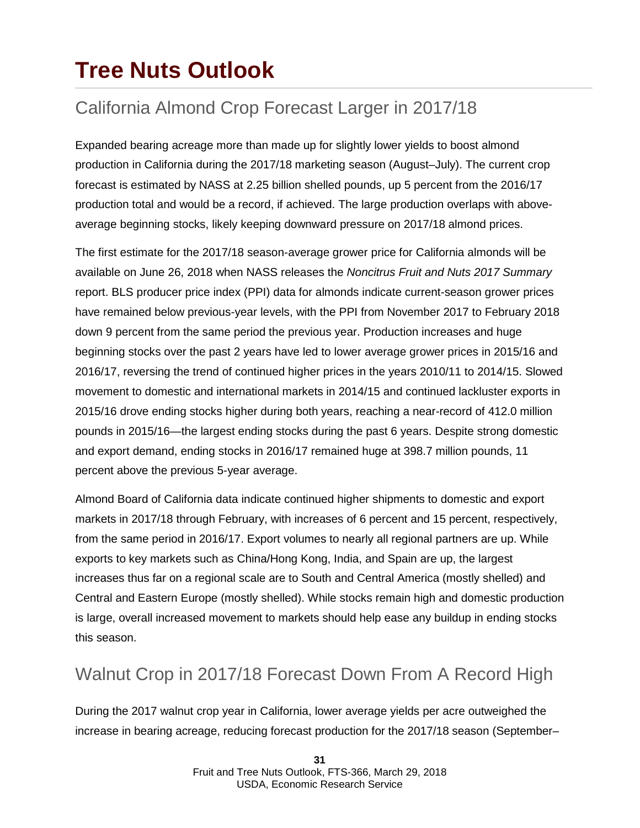## **Tree Nuts Outlook**

### California Almond Crop Forecast Larger in 2017/18

Expanded bearing acreage more than made up for slightly lower yields to boost almond production in California during the 2017/18 marketing season (August–July). The current crop forecast is estimated by NASS at 2.25 billion shelled pounds, up 5 percent from the 2016/17 production total and would be a record, if achieved. The large production overlaps with aboveaverage beginning stocks, likely keeping downward pressure on 2017/18 almond prices.

The first estimate for the 2017/18 season-average grower price for California almonds will be available on June 26, 2018 when NASS releases the *Noncitrus Fruit and Nuts 2017 Summary* report. BLS producer price index (PPI) data for almonds indicate current-season grower prices have remained below previous-year levels, with the PPI from November 2017 to February 2018 down 9 percent from the same period the previous year. Production increases and huge beginning stocks over the past 2 years have led to lower average grower prices in 2015/16 and 2016/17, reversing the trend of continued higher prices in the years 2010/11 to 2014/15. Slowed movement to domestic and international markets in 2014/15 and continued lackluster exports in 2015/16 drove ending stocks higher during both years, reaching a near-record of 412.0 million pounds in 2015/16—the largest ending stocks during the past 6 years. Despite strong domestic and export demand, ending stocks in 2016/17 remained huge at 398.7 million pounds, 11 percent above the previous 5-year average.

Almond Board of California data indicate continued higher shipments to domestic and export markets in 2017/18 through February, with increases of 6 percent and 15 percent, respectively, from the same period in 2016/17. Export volumes to nearly all regional partners are up. While exports to key markets such as China/Hong Kong, India, and Spain are up, the largest increases thus far on a regional scale are to South and Central America (mostly shelled) and Central and Eastern Europe (mostly shelled). While stocks remain high and domestic production is large, overall increased movement to markets should help ease any buildup in ending stocks this season.

### Walnut Crop in 2017/18 Forecast Down From A Record High

During the 2017 walnut crop year in California, lower average yields per acre outweighed the increase in bearing acreage, reducing forecast production for the 2017/18 season (September–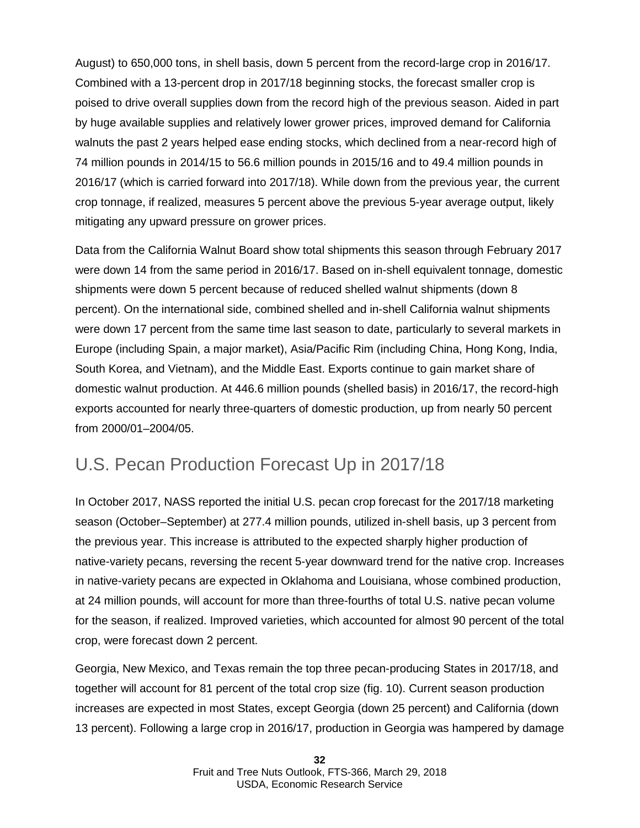August) to 650,000 tons, in shell basis, down 5 percent from the record-large crop in 2016/17. Combined with a 13-percent drop in 2017/18 beginning stocks, the forecast smaller crop is poised to drive overall supplies down from the record high of the previous season. Aided in part by huge available supplies and relatively lower grower prices, improved demand for California walnuts the past 2 years helped ease ending stocks, which declined from a near-record high of 74 million pounds in 2014/15 to 56.6 million pounds in 2015/16 and to 49.4 million pounds in 2016/17 (which is carried forward into 2017/18). While down from the previous year, the current crop tonnage, if realized, measures 5 percent above the previous 5-year average output, likely mitigating any upward pressure on grower prices.

Data from the California Walnut Board show total shipments this season through February 2017 were down 14 from the same period in 2016/17. Based on in-shell equivalent tonnage, domestic shipments were down 5 percent because of reduced shelled walnut shipments (down 8 percent). On the international side, combined shelled and in-shell California walnut shipments were down 17 percent from the same time last season to date, particularly to several markets in Europe (including Spain, a major market), Asia/Pacific Rim (including China, Hong Kong, India, South Korea, and Vietnam), and the Middle East. Exports continue to gain market share of domestic walnut production. At 446.6 million pounds (shelled basis) in 2016/17, the record-high exports accounted for nearly three-quarters of domestic production, up from nearly 50 percent from 2000/01–2004/05.

#### U.S. Pecan Production Forecast Up in 2017/18

In October 2017, NASS reported the initial U.S. pecan crop forecast for the 2017/18 marketing season (October–September) at 277.4 million pounds, utilized in-shell basis, up 3 percent from the previous year. This increase is attributed to the expected sharply higher production of native-variety pecans, reversing the recent 5-year downward trend for the native crop. Increases in native-variety pecans are expected in Oklahoma and Louisiana, whose combined production, at 24 million pounds, will account for more than three-fourths of total U.S. native pecan volume for the season, if realized. Improved varieties, which accounted for almost 90 percent of the total crop, were forecast down 2 percent.

Georgia, New Mexico, and Texas remain the top three pecan-producing States in 2017/18, and together will account for 81 percent of the total crop size (fig. 10). Current season production increases are expected in most States, except Georgia (down 25 percent) and California (down 13 percent). Following a large crop in 2016/17, production in Georgia was hampered by damage